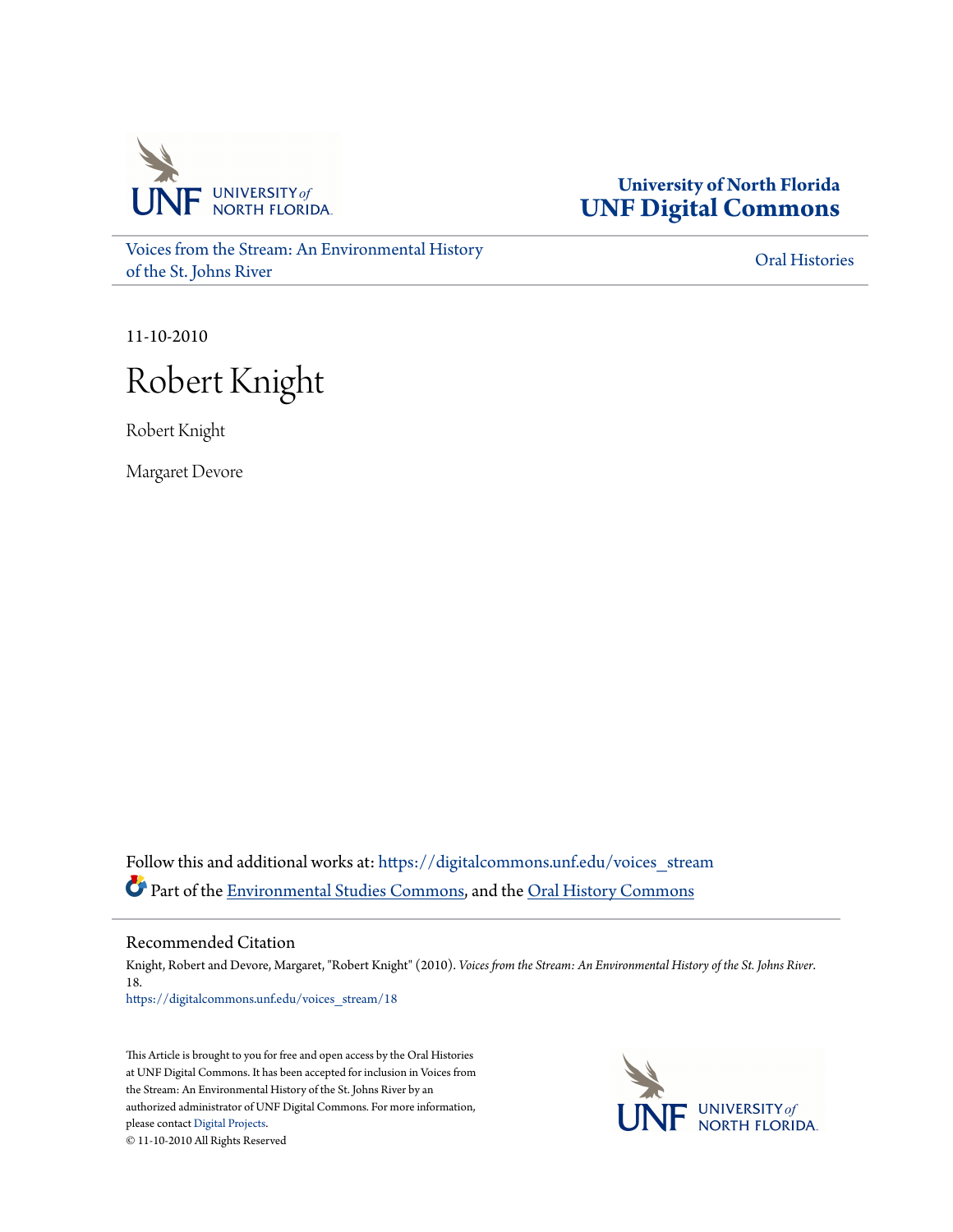

**University of North Florida [UNF Digital Commons](https://digitalcommons.unf.edu?utm_source=digitalcommons.unf.edu%2Fvoices_stream%2F18&utm_medium=PDF&utm_campaign=PDFCoverPages)**

[Voices from the Stream: An Environmental History](https://digitalcommons.unf.edu/voices_stream?utm_source=digitalcommons.unf.edu%2Fvoices_stream%2F18&utm_medium=PDF&utm_campaign=PDFCoverPages) [of the St. Johns River](https://digitalcommons.unf.edu/voices_stream?utm_source=digitalcommons.unf.edu%2Fvoices_stream%2F18&utm_medium=PDF&utm_campaign=PDFCoverPages)

[Oral Histories](https://digitalcommons.unf.edu/oral_histories?utm_source=digitalcommons.unf.edu%2Fvoices_stream%2F18&utm_medium=PDF&utm_campaign=PDFCoverPages)

11-10-2010

# Robert Knight

Robert Knight

Margaret Devore

Follow this and additional works at: [https://digitalcommons.unf.edu/voices\\_stream](https://digitalcommons.unf.edu/voices_stream?utm_source=digitalcommons.unf.edu%2Fvoices_stream%2F18&utm_medium=PDF&utm_campaign=PDFCoverPages) Part of the [Environmental Studies Commons](http://network.bepress.com/hgg/discipline/1333?utm_source=digitalcommons.unf.edu%2Fvoices_stream%2F18&utm_medium=PDF&utm_campaign=PDFCoverPages), and the [Oral History Commons](http://network.bepress.com/hgg/discipline/1195?utm_source=digitalcommons.unf.edu%2Fvoices_stream%2F18&utm_medium=PDF&utm_campaign=PDFCoverPages)

Recommended Citation

Knight, Robert and Devore, Margaret, "Robert Knight" (2010). *Voices from the Stream: An Environmental History of the St. Johns River*. 18. [https://digitalcommons.unf.edu/voices\\_stream/18](https://digitalcommons.unf.edu/voices_stream/18?utm_source=digitalcommons.unf.edu%2Fvoices_stream%2F18&utm_medium=PDF&utm_campaign=PDFCoverPages)

This Article is brought to you for free and open access by the Oral Histories at UNF Digital Commons. It has been accepted for inclusion in Voices from the Stream: An Environmental History of the St. Johns River by an authorized administrator of UNF Digital Commons. For more information, please contact [Digital Projects.](mailto:lib-digital@unf.edu) © 11-10-2010 All Rights Reserved

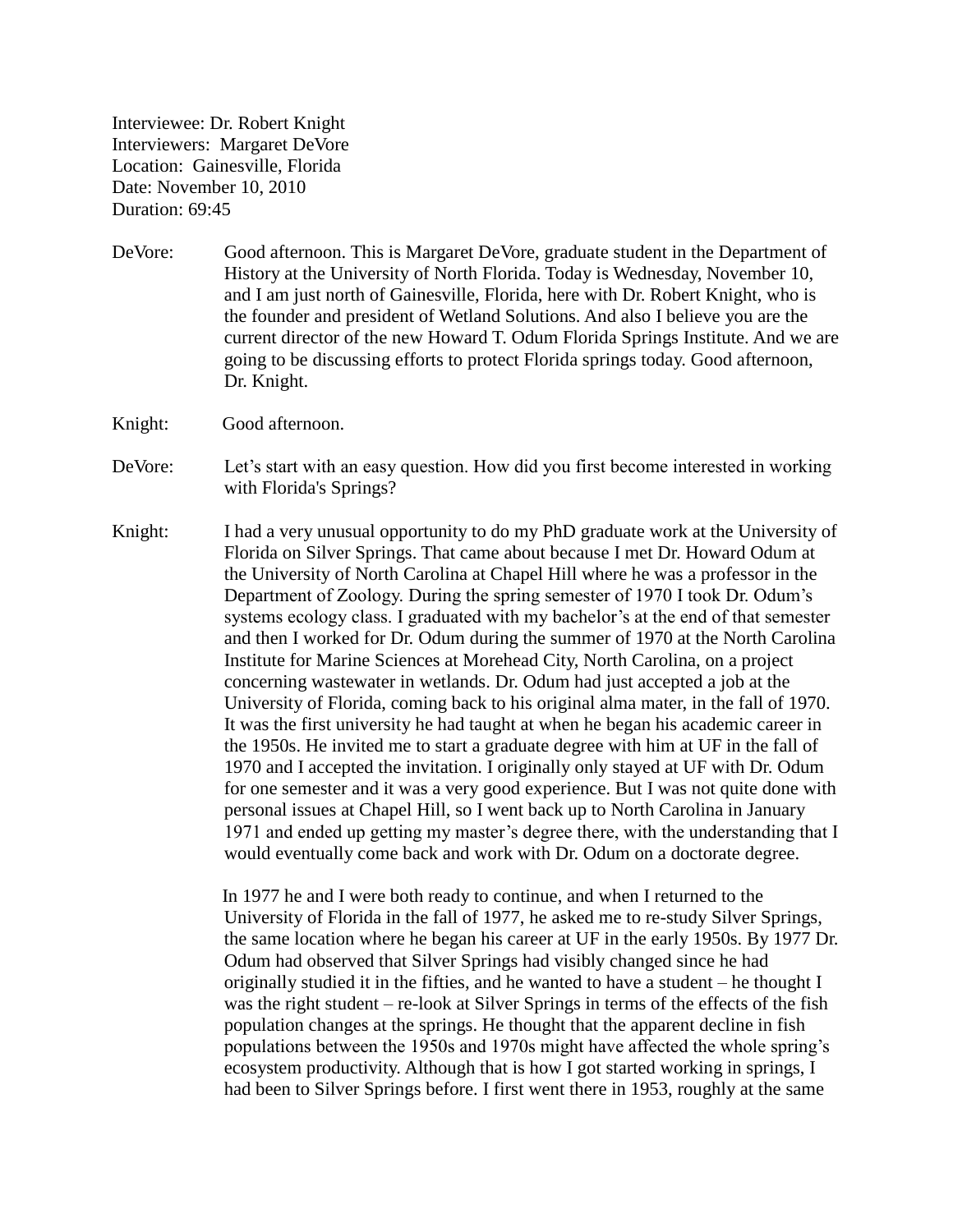Interviewee: Dr. Robert Knight Interviewers: Margaret DeVore Location: Gainesville, Florida Date: November 10, 2010 Duration: 69:45

- DeVore: Good afternoon. This is Margaret DeVore, graduate student in the Department of History at the University of North Florida. Today is Wednesday, November 10, and I am just north of Gainesville, Florida, here with Dr. Robert Knight, who is the founder and president of Wetland Solutions. And also I believe you are the current director of the new Howard T. Odum Florida Springs Institute. And we are going to be discussing efforts to protect Florida springs today. Good afternoon, Dr. Knight.
- Knight: Good afternoon.
- DeVore: Let's start with an easy question. How did you first become interested in working with Florida's Springs?
- Knight: I had a very unusual opportunity to do my PhD graduate work at the University of Florida on Silver Springs. That came about because I met Dr. Howard Odum at the University of North Carolina at Chapel Hill where he was a professor in the Department of Zoology. During the spring semester of 1970 I took Dr. Odum's systems ecology class. I graduated with my bachelor's at the end of that semester and then I worked for Dr. Odum during the summer of 1970 at the North Carolina Institute for Marine Sciences at Morehead City, North Carolina, on a project concerning wastewater in wetlands. Dr. Odum had just accepted a job at the University of Florida, coming back to his original alma mater, in the fall of 1970. It was the first university he had taught at when he began his academic career in the 1950s. He invited me to start a graduate degree with him at UF in the fall of 1970 and I accepted the invitation. I originally only stayed at UF with Dr. Odum for one semester and it was a very good experience. But I was not quite done with personal issues at Chapel Hill, so I went back up to North Carolina in January 1971 and ended up getting my master's degree there, with the understanding that I would eventually come back and work with Dr. Odum on a doctorate degree.

In 1977 he and I were both ready to continue, and when I returned to the University of Florida in the fall of 1977, he asked me to re-study Silver Springs, the same location where he began his career at UF in the early 1950s. By 1977 Dr. Odum had observed that Silver Springs had visibly changed since he had originally studied it in the fifties, and he wanted to have a student – he thought I was the right student – re-look at Silver Springs in terms of the effects of the fish population changes at the springs. He thought that the apparent decline in fish populations between the 1950s and 1970s might have affected the whole spring's ecosystem productivity. Although that is how I got started working in springs, I had been to Silver Springs before. I first went there in 1953, roughly at the same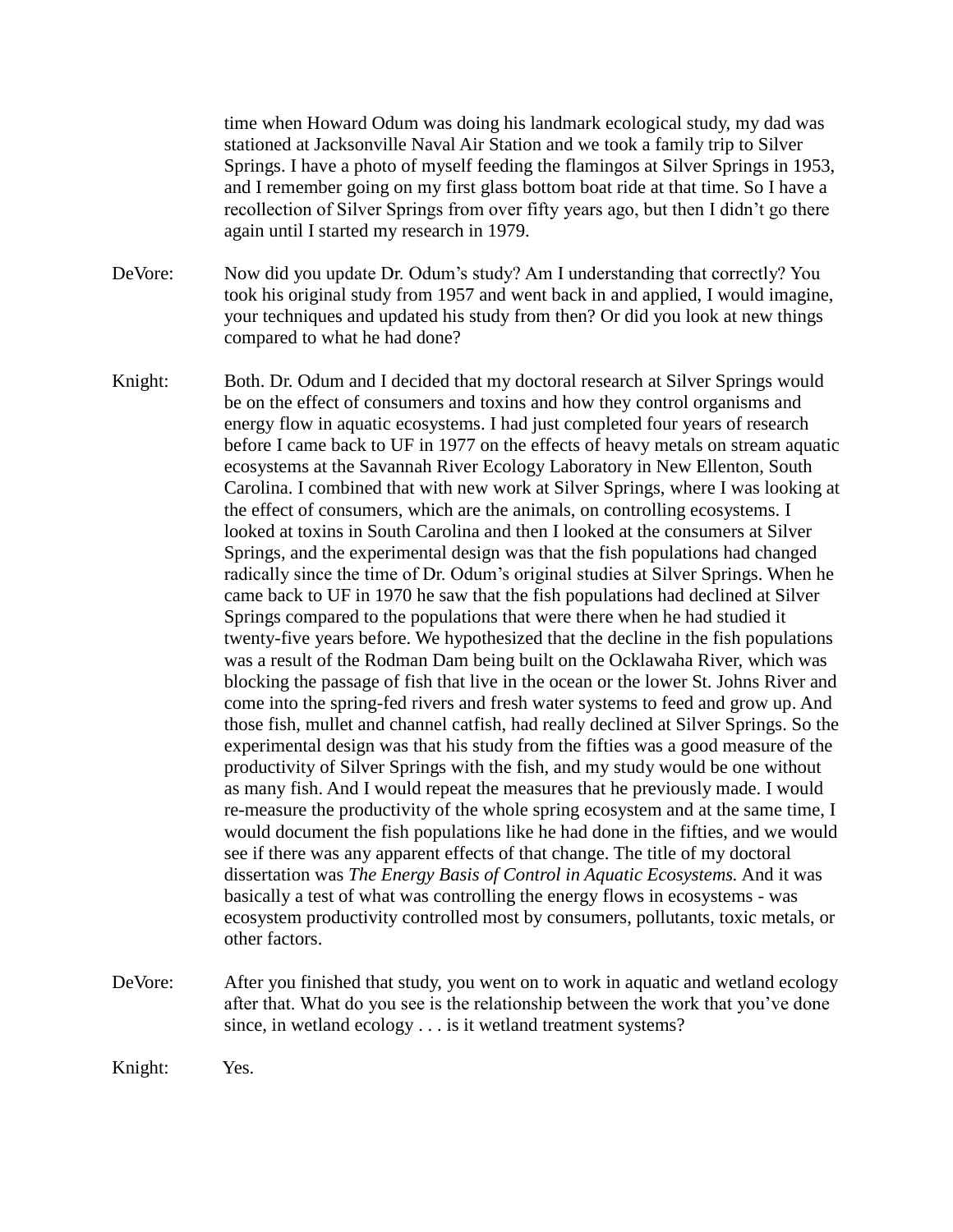time when Howard Odum was doing his landmark ecological study, my dad was stationed at Jacksonville Naval Air Station and we took a family trip to Silver Springs. I have a photo of myself feeding the flamingos at Silver Springs in 1953, and I remember going on my first glass bottom boat ride at that time. So I have a recollection of Silver Springs from over fifty years ago, but then I didn't go there again until I started my research in 1979.

DeVore: Now did you update Dr. Odum's study? Am I understanding that correctly? You took his original study from 1957 and went back in and applied, I would imagine, your techniques and updated his study from then? Or did you look at new things compared to what he had done?

- Knight: Both. Dr. Odum and I decided that my doctoral research at Silver Springs would be on the effect of consumers and toxins and how they control organisms and energy flow in aquatic ecosystems. I had just completed four years of research before I came back to UF in 1977 on the effects of heavy metals on stream aquatic ecosystems at the Savannah River Ecology Laboratory in New Ellenton, South Carolina. I combined that with new work at Silver Springs, where I was looking at the effect of consumers, which are the animals, on controlling ecosystems. I looked at toxins in South Carolina and then I looked at the consumers at Silver Springs, and the experimental design was that the fish populations had changed radically since the time of Dr. Odum's original studies at Silver Springs. When he came back to UF in 1970 he saw that the fish populations had declined at Silver Springs compared to the populations that were there when he had studied it twenty-five years before. We hypothesized that the decline in the fish populations was a result of the Rodman Dam being built on the Ocklawaha River, which was blocking the passage of fish that live in the ocean or the lower St. Johns River and come into the spring-fed rivers and fresh water systems to feed and grow up. And those fish, mullet and channel catfish, had really declined at Silver Springs. So the experimental design was that his study from the fifties was a good measure of the productivity of Silver Springs with the fish, and my study would be one without as many fish. And I would repeat the measures that he previously made. I would re-measure the productivity of the whole spring ecosystem and at the same time, I would document the fish populations like he had done in the fifties, and we would see if there was any apparent effects of that change. The title of my doctoral dissertation was *The Energy Basis of Control in Aquatic Ecosystems.* And it was basically a test of what was controlling the energy flows in ecosystems - was ecosystem productivity controlled most by consumers, pollutants, toxic metals, or other factors.
- DeVore: After you finished that study, you went on to work in aquatic and wetland ecology after that. What do you see is the relationship between the work that you've done since, in wetland ecology . . . is it wetland treatment systems?

Knight: Yes.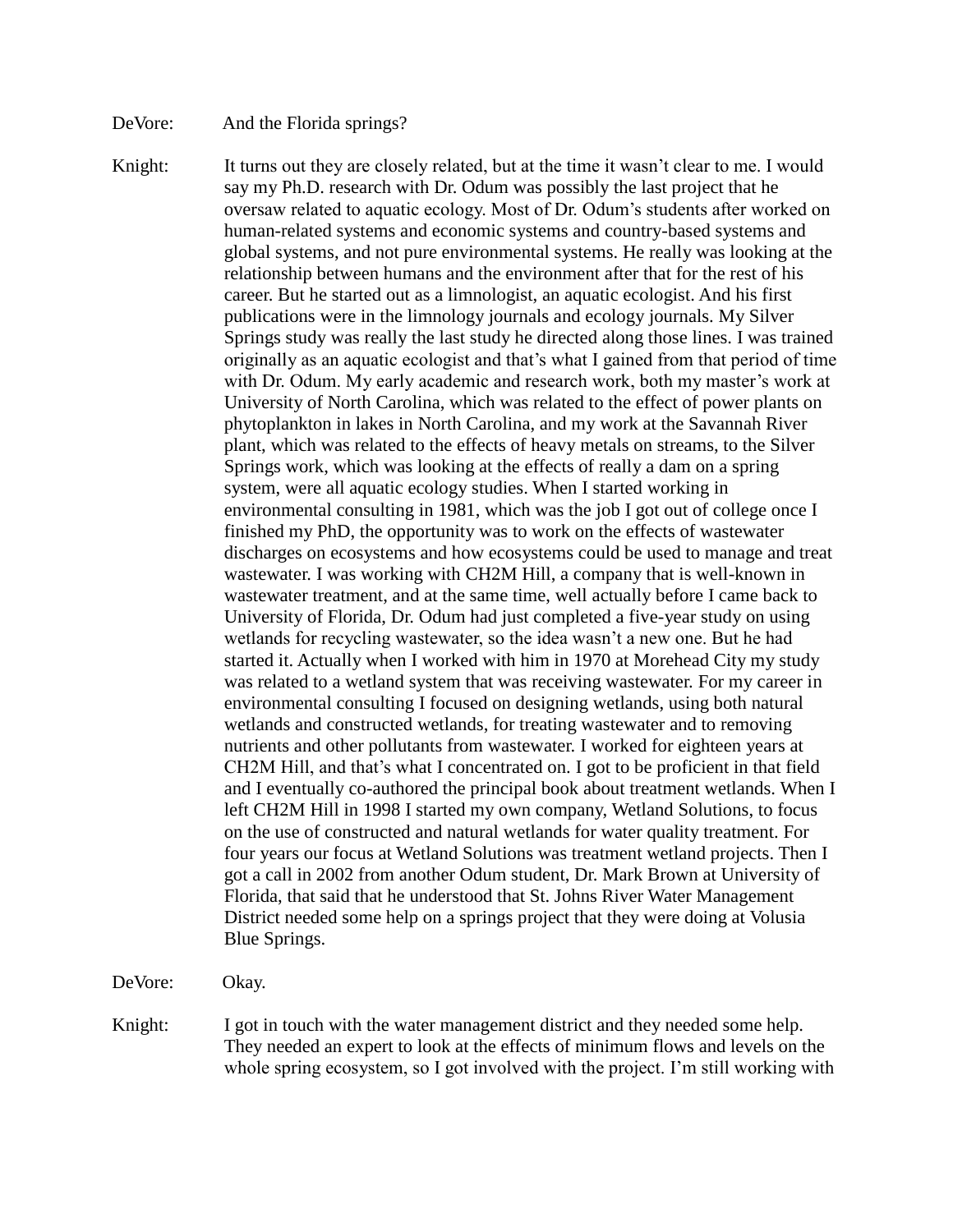### DeVore: And the Florida springs?

Knight: It turns out they are closely related, but at the time it wasn't clear to me. I would say my Ph.D. research with Dr. Odum was possibly the last project that he oversaw related to aquatic ecology. Most of Dr. Odum's students after worked on human-related systems and economic systems and country-based systems and global systems, and not pure environmental systems. He really was looking at the relationship between humans and the environment after that for the rest of his career. But he started out as a limnologist, an aquatic ecologist. And his first publications were in the limnology journals and ecology journals. My Silver Springs study was really the last study he directed along those lines. I was trained originally as an aquatic ecologist and that's what I gained from that period of time with Dr. Odum. My early academic and research work, both my master's work at University of North Carolina, which was related to the effect of power plants on phytoplankton in lakes in North Carolina, and my work at the Savannah River plant, which was related to the effects of heavy metals on streams, to the Silver Springs work, which was looking at the effects of really a dam on a spring system, were all aquatic ecology studies. When I started working in environmental consulting in 1981, which was the job I got out of college once I finished my PhD, the opportunity was to work on the effects of wastewater discharges on ecosystems and how ecosystems could be used to manage and treat wastewater. I was working with CH2M Hill, a company that is well-known in wastewater treatment, and at the same time, well actually before I came back to University of Florida, Dr. Odum had just completed a five-year study on using wetlands for recycling wastewater, so the idea wasn't a new one. But he had started it. Actually when I worked with him in 1970 at Morehead City my study was related to a wetland system that was receiving wastewater. For my career in environmental consulting I focused on designing wetlands, using both natural wetlands and constructed wetlands, for treating wastewater and to removing nutrients and other pollutants from wastewater. I worked for eighteen years at CH2M Hill, and that's what I concentrated on. I got to be proficient in that field and I eventually co-authored the principal book about treatment wetlands. When I left CH2M Hill in 1998 I started my own company, Wetland Solutions, to focus on the use of constructed and natural wetlands for water quality treatment. For four years our focus at Wetland Solutions was treatment wetland projects. Then I got a call in 2002 from another Odum student, Dr. Mark Brown at University of Florida, that said that he understood that St. Johns River Water Management District needed some help on a springs project that they were doing at Volusia Blue Springs.

DeVore: Okay.

Knight: I got in touch with the water management district and they needed some help. They needed an expert to look at the effects of minimum flows and levels on the whole spring ecosystem, so I got involved with the project. I'm still working with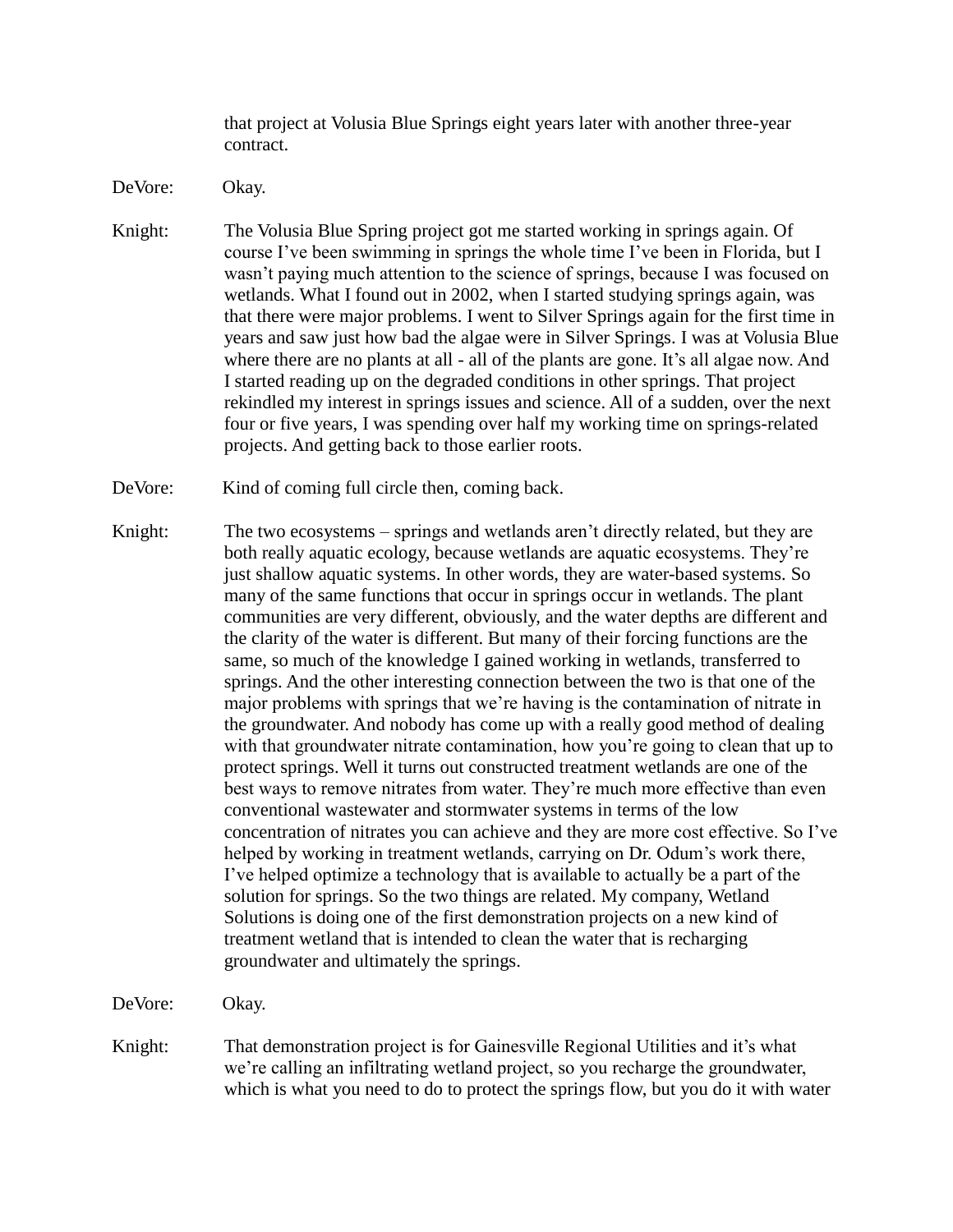that project at Volusia Blue Springs eight years later with another three-year contract.

- DeVore: Okay.
- Knight: The Volusia Blue Spring project got me started working in springs again. Of course I've been swimming in springs the whole time I've been in Florida, but I wasn't paying much attention to the science of springs, because I was focused on wetlands. What I found out in 2002, when I started studying springs again, was that there were major problems. I went to Silver Springs again for the first time in years and saw just how bad the algae were in Silver Springs. I was at Volusia Blue where there are no plants at all - all of the plants are gone. It's all algae now. And I started reading up on the degraded conditions in other springs. That project rekindled my interest in springs issues and science. All of a sudden, over the next four or five years, I was spending over half my working time on springs-related projects. And getting back to those earlier roots.
- DeVore: Kind of coming full circle then, coming back.
- Knight: The two ecosystems springs and wetlands aren't directly related, but they are both really aquatic ecology, because wetlands are aquatic ecosystems. They're just shallow aquatic systems. In other words, they are water-based systems. So many of the same functions that occur in springs occur in wetlands. The plant communities are very different, obviously, and the water depths are different and the clarity of the water is different. But many of their forcing functions are the same, so much of the knowledge I gained working in wetlands, transferred to springs. And the other interesting connection between the two is that one of the major problems with springs that we're having is the contamination of nitrate in the groundwater. And nobody has come up with a really good method of dealing with that groundwater nitrate contamination, how you're going to clean that up to protect springs. Well it turns out constructed treatment wetlands are one of the best ways to remove nitrates from water. They're much more effective than even conventional wastewater and stormwater systems in terms of the low concentration of nitrates you can achieve and they are more cost effective. So I've helped by working in treatment wetlands, carrying on Dr. Odum's work there, I've helped optimize a technology that is available to actually be a part of the solution for springs. So the two things are related. My company, Wetland Solutions is doing one of the first demonstration projects on a new kind of treatment wetland that is intended to clean the water that is recharging groundwater and ultimately the springs.

DeVore: Okay.

Knight: That demonstration project is for Gainesville Regional Utilities and it's what we're calling an infiltrating wetland project, so you recharge the groundwater, which is what you need to do to protect the springs flow, but you do it with water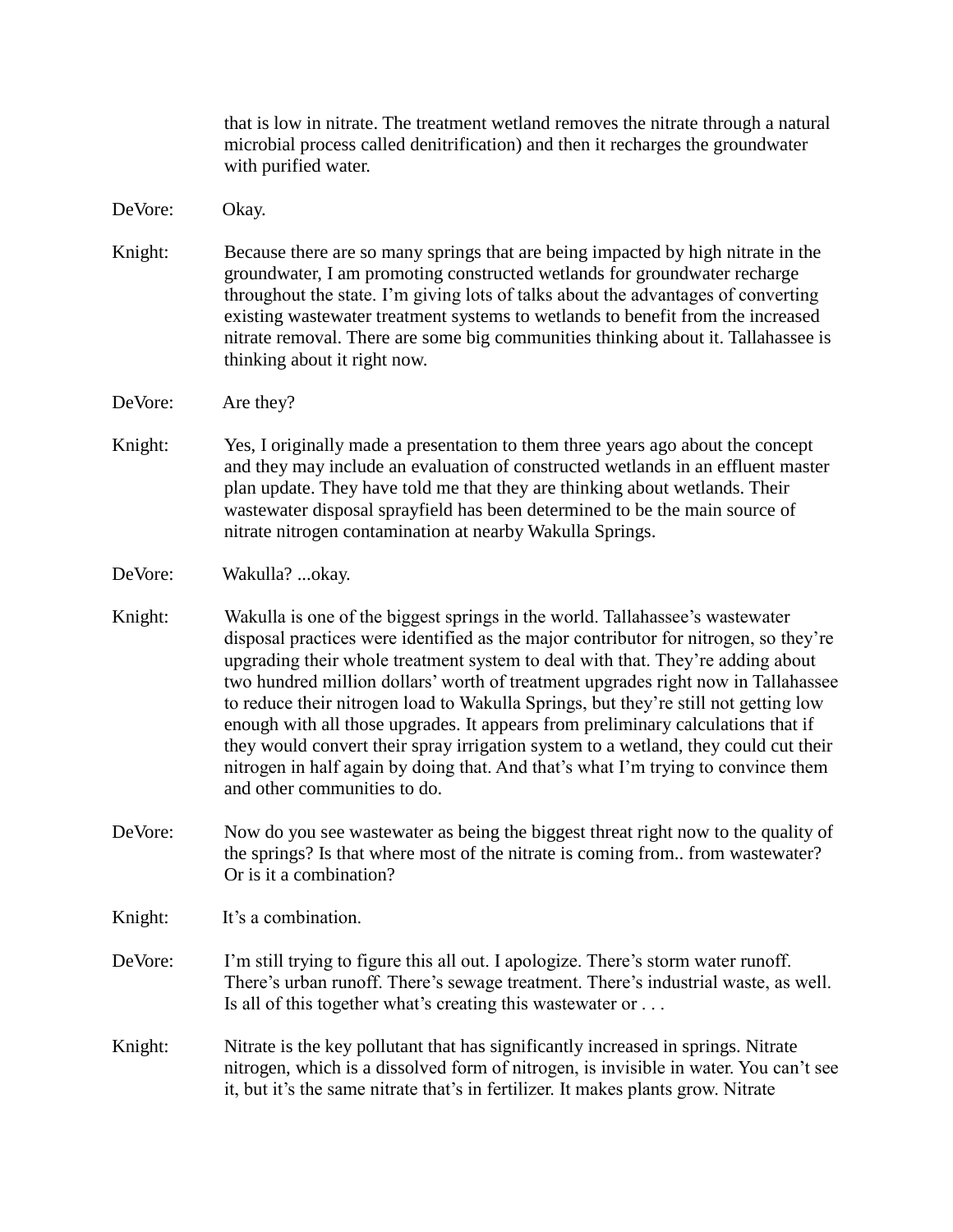that is low in nitrate. The treatment wetland removes the nitrate through a natural microbial process called denitrification) and then it recharges the groundwater with purified water.

DeVore: Okay.

- Knight: Because there are so many springs that are being impacted by high nitrate in the groundwater, I am promoting constructed wetlands for groundwater recharge throughout the state. I'm giving lots of talks about the advantages of converting existing wastewater treatment systems to wetlands to benefit from the increased nitrate removal. There are some big communities thinking about it. Tallahassee is thinking about it right now.
- DeVore: Are they?
- Knight: Yes, I originally made a presentation to them three years ago about the concept and they may include an evaluation of constructed wetlands in an effluent master plan update. They have told me that they are thinking about wetlands. Their wastewater disposal sprayfield has been determined to be the main source of nitrate nitrogen contamination at nearby Wakulla Springs.

DeVore: Wakulla? ...okay.

- Knight: Wakulla is one of the biggest springs in the world. Tallahassee's wastewater disposal practices were identified as the major contributor for nitrogen, so they're upgrading their whole treatment system to deal with that. They're adding about two hundred million dollars' worth of treatment upgrades right now in Tallahassee to reduce their nitrogen load to Wakulla Springs, but they're still not getting low enough with all those upgrades. It appears from preliminary calculations that if they would convert their spray irrigation system to a wetland, they could cut their nitrogen in half again by doing that. And that's what I'm trying to convince them and other communities to do.
- DeVore: Now do you see wastewater as being the biggest threat right now to the quality of the springs? Is that where most of the nitrate is coming from.. from wastewater? Or is it a combination?

Knight: It's a combination.

- DeVore: I'm still trying to figure this all out. I apologize. There's storm water runoff. There's urban runoff. There's sewage treatment. There's industrial waste, as well. Is all of this together what's creating this wastewater or . . .
- Knight: Nitrate is the key pollutant that has significantly increased in springs. Nitrate nitrogen, which is a dissolved form of nitrogen, is invisible in water. You can't see it, but it's the same nitrate that's in fertilizer. It makes plants grow. Nitrate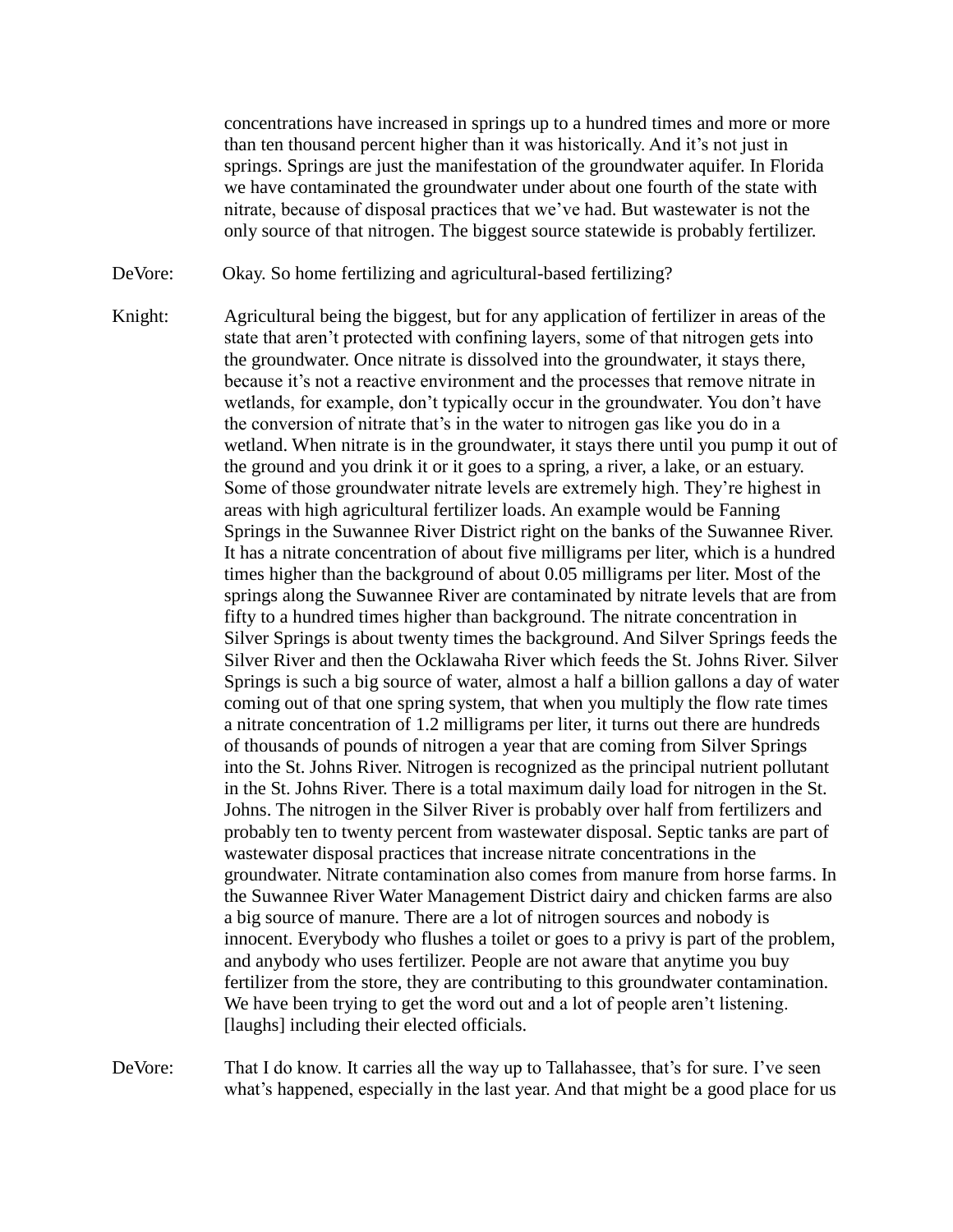concentrations have increased in springs up to a hundred times and more or more than ten thousand percent higher than it was historically. And it's not just in springs. Springs are just the manifestation of the groundwater aquifer. In Florida we have contaminated the groundwater under about one fourth of the state with nitrate, because of disposal practices that we've had. But wastewater is not the only source of that nitrogen. The biggest source statewide is probably fertilizer.

- DeVore: Okay. So home fertilizing and agricultural-based fertilizing?
- Knight: Agricultural being the biggest, but for any application of fertilizer in areas of the state that aren't protected with confining layers, some of that nitrogen gets into the groundwater. Once nitrate is dissolved into the groundwater, it stays there, because it's not a reactive environment and the processes that remove nitrate in wetlands, for example, don't typically occur in the groundwater. You don't have the conversion of nitrate that's in the water to nitrogen gas like you do in a wetland. When nitrate is in the groundwater, it stays there until you pump it out of the ground and you drink it or it goes to a spring, a river, a lake, or an estuary. Some of those groundwater nitrate levels are extremely high. They're highest in areas with high agricultural fertilizer loads. An example would be Fanning Springs in the Suwannee River District right on the banks of the Suwannee River. It has a nitrate concentration of about five milligrams per liter, which is a hundred times higher than the background of about 0.05 milligrams per liter. Most of the springs along the Suwannee River are contaminated by nitrate levels that are from fifty to a hundred times higher than background. The nitrate concentration in Silver Springs is about twenty times the background. And Silver Springs feeds the Silver River and then the Ocklawaha River which feeds the St. Johns River. Silver Springs is such a big source of water, almost a half a billion gallons a day of water coming out of that one spring system, that when you multiply the flow rate times a nitrate concentration of 1.2 milligrams per liter, it turns out there are hundreds of thousands of pounds of nitrogen a year that are coming from Silver Springs into the St. Johns River. Nitrogen is recognized as the principal nutrient pollutant in the St. Johns River. There is a total maximum daily load for nitrogen in the St. Johns. The nitrogen in the Silver River is probably over half from fertilizers and probably ten to twenty percent from wastewater disposal. Septic tanks are part of wastewater disposal practices that increase nitrate concentrations in the groundwater. Nitrate contamination also comes from manure from horse farms. In the Suwannee River Water Management District dairy and chicken farms are also a big source of manure. There are a lot of nitrogen sources and nobody is innocent. Everybody who flushes a toilet or goes to a privy is part of the problem, and anybody who uses fertilizer. People are not aware that anytime you buy fertilizer from the store, they are contributing to this groundwater contamination. We have been trying to get the word out and a lot of people aren't listening. [laughs] including their elected officials.

DeVore: That I do know. It carries all the way up to Tallahassee, that's for sure. I've seen what's happened, especially in the last year. And that might be a good place for us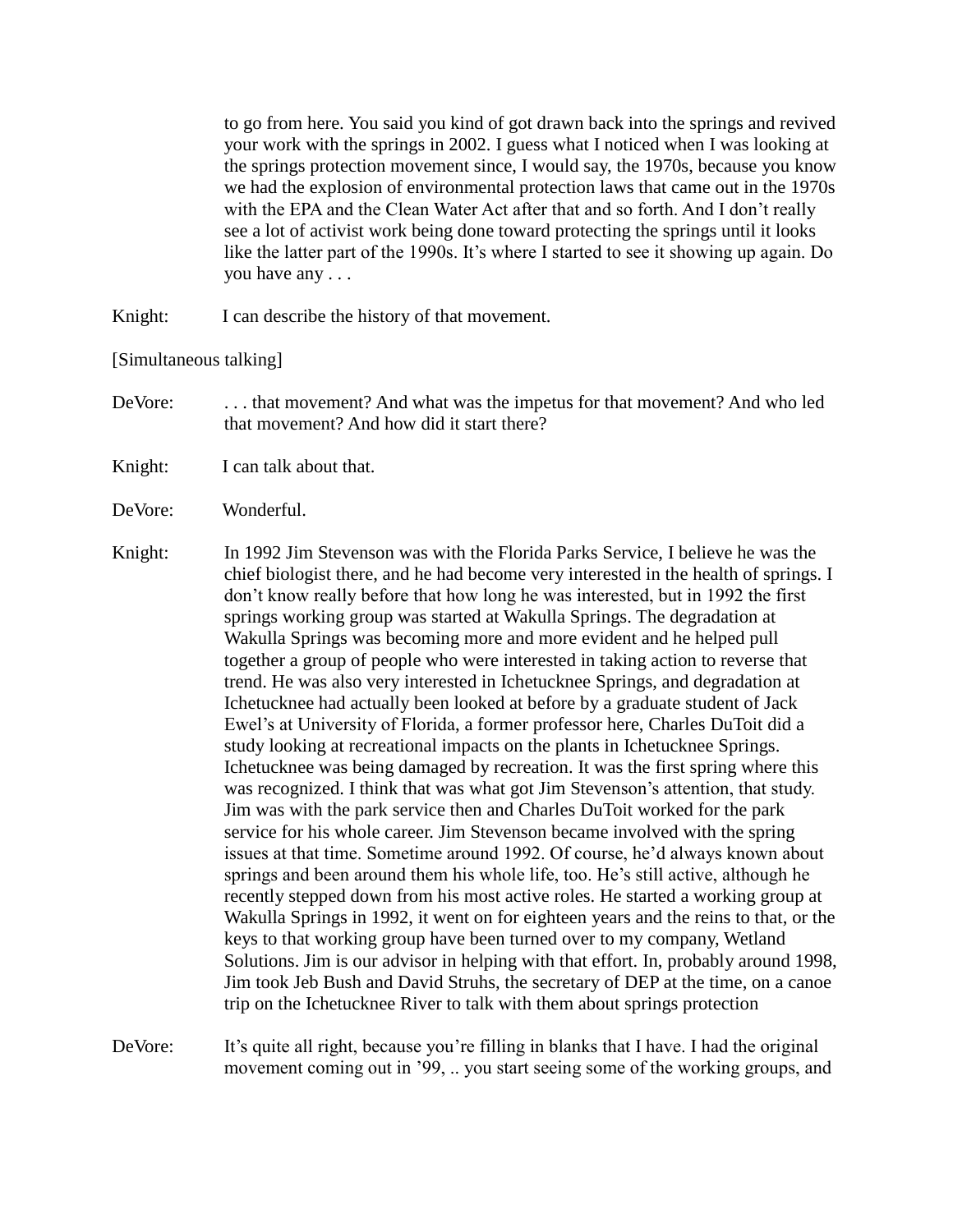to go from here. You said you kind of got drawn back into the springs and revived your work with the springs in 2002. I guess what I noticed when I was looking at the springs protection movement since, I would say, the 1970s, because you know we had the explosion of environmental protection laws that came out in the 1970s with the EPA and the Clean Water Act after that and so forth. And I don't really see a lot of activist work being done toward protecting the springs until it looks like the latter part of the 1990s. It's where I started to see it showing up again. Do you have any . . .

Knight: I can describe the history of that movement.

[Simultaneous talking]

- DeVore: . . . that movement? And what was the impetus for that movement? And who led that movement? And how did it start there?
- Knight: I can talk about that.
- DeVore: Wonderful.
- Knight: In 1992 Jim Stevenson was with the Florida Parks Service, I believe he was the chief biologist there, and he had become very interested in the health of springs. I don't know really before that how long he was interested, but in 1992 the first springs working group was started at Wakulla Springs. The degradation at Wakulla Springs was becoming more and more evident and he helped pull together a group of people who were interested in taking action to reverse that trend. He was also very interested in Ichetucknee Springs, and degradation at Ichetucknee had actually been looked at before by a graduate student of Jack Ewel's at University of Florida, a former professor here, Charles DuToit did a study looking at recreational impacts on the plants in Ichetucknee Springs. Ichetucknee was being damaged by recreation. It was the first spring where this was recognized. I think that was what got Jim Stevenson's attention, that study. Jim was with the park service then and Charles DuToit worked for the park service for his whole career. Jim Stevenson became involved with the spring issues at that time. Sometime around 1992. Of course, he'd always known about springs and been around them his whole life, too. He's still active, although he recently stepped down from his most active roles. He started a working group at Wakulla Springs in 1992, it went on for eighteen years and the reins to that, or the keys to that working group have been turned over to my company, Wetland Solutions. Jim is our advisor in helping with that effort. In, probably around 1998, Jim took Jeb Bush and David Struhs, the secretary of DEP at the time, on a canoe trip on the Ichetucknee River to talk with them about springs protection

DeVore: It's quite all right, because you're filling in blanks that I have. I had the original movement coming out in '99, .. you start seeing some of the working groups, and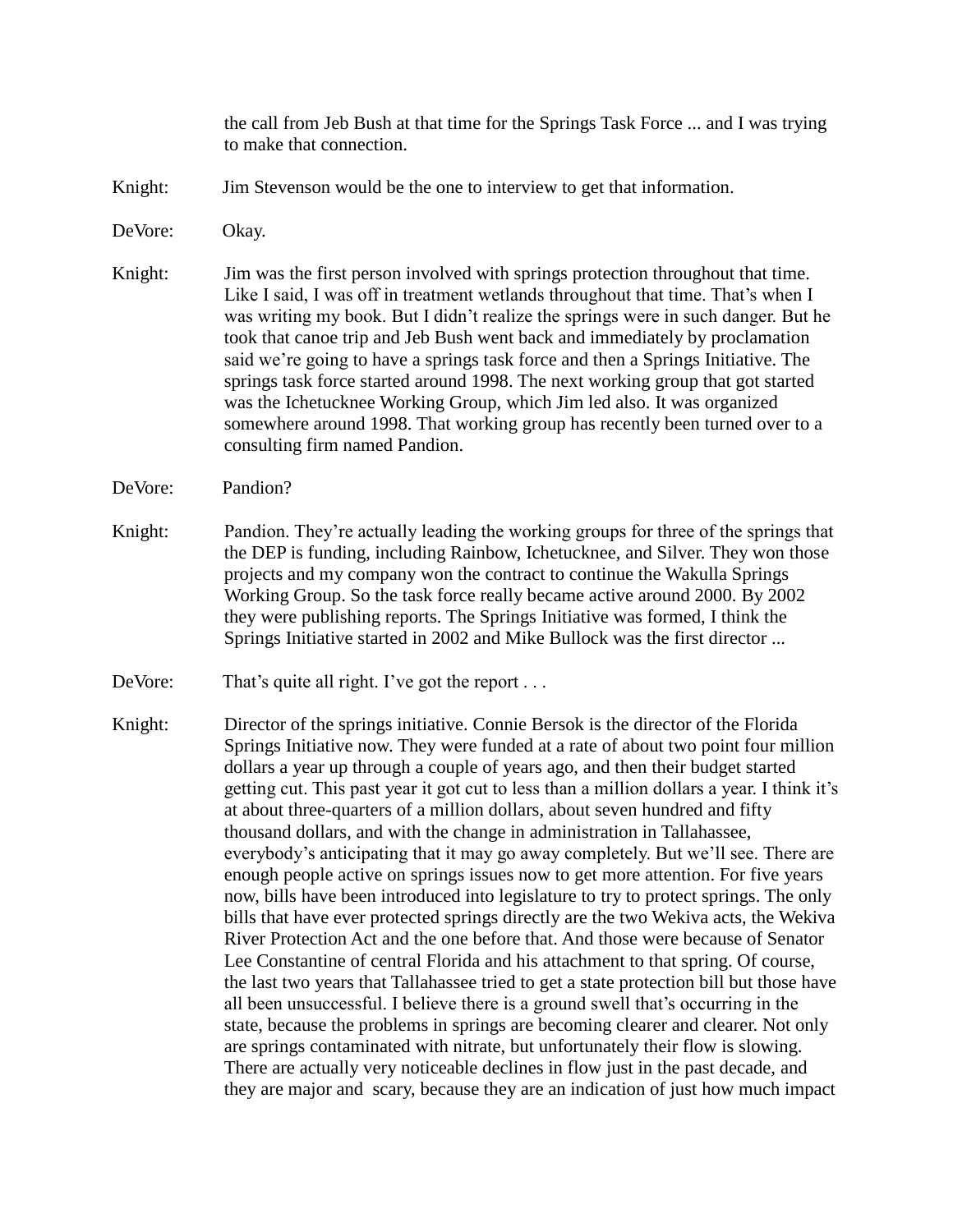the call from Jeb Bush at that time for the Springs Task Force ... and I was trying to make that connection.

- Knight: Jim Stevenson would be the one to interview to get that information.
- DeVore: Okay.
- Knight: Jim was the first person involved with springs protection throughout that time. Like I said, I was off in treatment wetlands throughout that time. That's when I was writing my book. But I didn't realize the springs were in such danger. But he took that canoe trip and Jeb Bush went back and immediately by proclamation said we're going to have a springs task force and then a Springs Initiative. The springs task force started around 1998. The next working group that got started was the Ichetucknee Working Group, which Jim led also. It was organized somewhere around 1998. That working group has recently been turned over to a consulting firm named Pandion.
- DeVore: Pandion?
- Knight: Pandion. They're actually leading the working groups for three of the springs that the DEP is funding, including Rainbow, Ichetucknee, and Silver. They won those projects and my company won the contract to continue the Wakulla Springs Working Group. So the task force really became active around 2000. By 2002 they were publishing reports. The Springs Initiative was formed, I think the Springs Initiative started in 2002 and Mike Bullock was the first director ...
- DeVore: That's quite all right. I've got the report ...
- Knight: Director of the springs initiative. Connie Bersok is the director of the Florida Springs Initiative now. They were funded at a rate of about two point four million dollars a year up through a couple of years ago, and then their budget started getting cut. This past year it got cut to less than a million dollars a year. I think it's at about three-quarters of a million dollars, about seven hundred and fifty thousand dollars, and with the change in administration in Tallahassee, everybody's anticipating that it may go away completely. But we'll see. There are enough people active on springs issues now to get more attention. For five years now, bills have been introduced into legislature to try to protect springs. The only bills that have ever protected springs directly are the two Wekiva acts, the Wekiva River Protection Act and the one before that. And those were because of Senator Lee Constantine of central Florida and his attachment to that spring. Of course, the last two years that Tallahassee tried to get a state protection bill but those have all been unsuccessful. I believe there is a ground swell that's occurring in the state, because the problems in springs are becoming clearer and clearer. Not only are springs contaminated with nitrate, but unfortunately their flow is slowing. There are actually very noticeable declines in flow just in the past decade, and they are major and scary, because they are an indication of just how much impact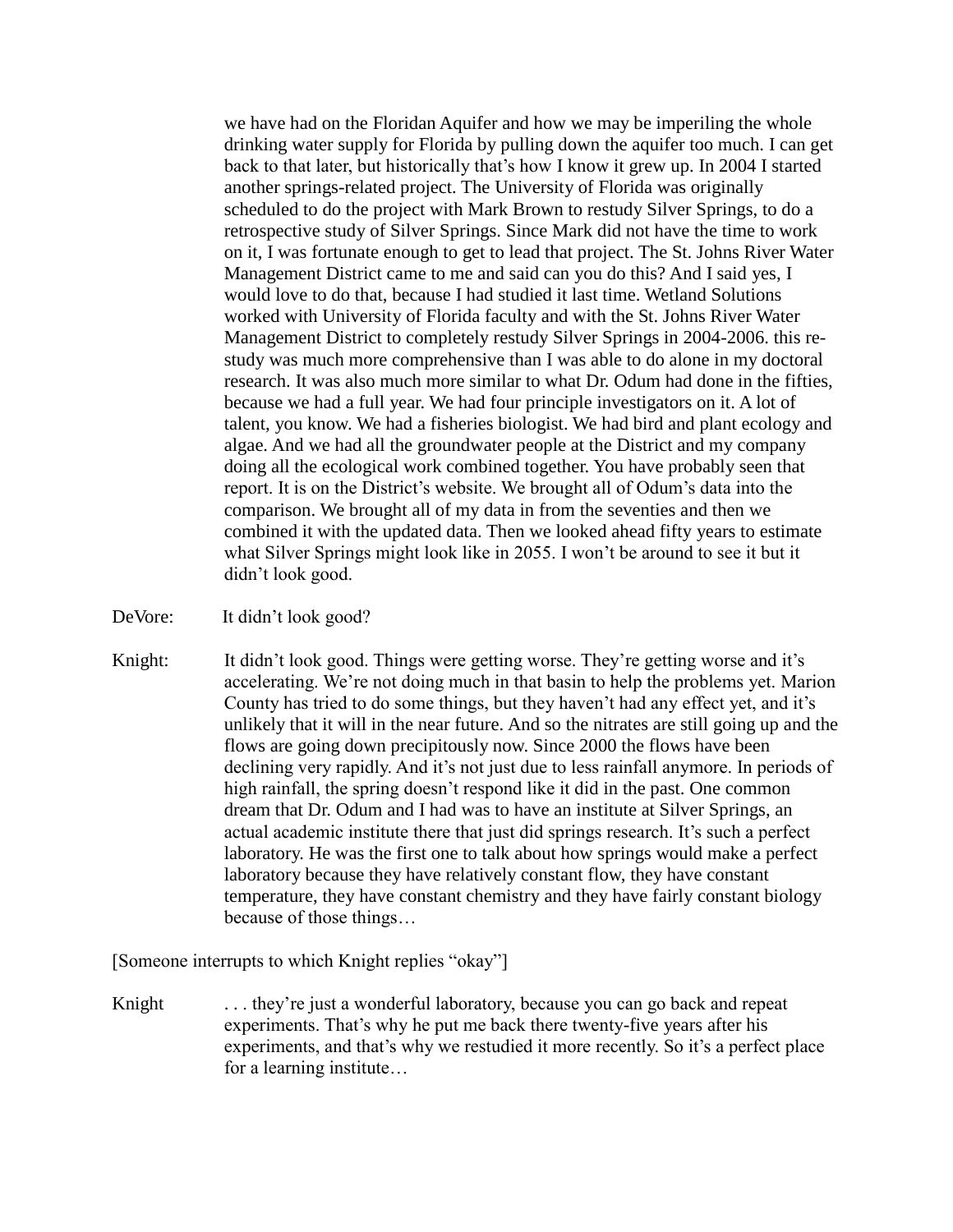we have had on the Floridan Aquifer and how we may be imperiling the whole drinking water supply for Florida by pulling down the aquifer too much. I can get back to that later, but historically that's how I know it grew up. In 2004 I started another springs-related project. The University of Florida was originally scheduled to do the project with Mark Brown to restudy Silver Springs, to do a retrospective study of Silver Springs. Since Mark did not have the time to work on it, I was fortunate enough to get to lead that project. The St. Johns River Water Management District came to me and said can you do this? And I said yes, I would love to do that, because I had studied it last time. Wetland Solutions worked with University of Florida faculty and with the St. Johns River Water Management District to completely restudy Silver Springs in 2004-2006. this restudy was much more comprehensive than I was able to do alone in my doctoral research. It was also much more similar to what Dr. Odum had done in the fifties, because we had a full year. We had four principle investigators on it. A lot of talent, you know. We had a fisheries biologist. We had bird and plant ecology and algae. And we had all the groundwater people at the District and my company doing all the ecological work combined together. You have probably seen that report. It is on the District's website. We brought all of Odum's data into the comparison. We brought all of my data in from the seventies and then we combined it with the updated data. Then we looked ahead fifty years to estimate what Silver Springs might look like in 2055. I won't be around to see it but it didn't look good.

DeVore: It didn't look good?

Knight: It didn't look good. Things were getting worse. They're getting worse and it's accelerating. We're not doing much in that basin to help the problems yet. Marion County has tried to do some things, but they haven't had any effect yet, and it's unlikely that it will in the near future. And so the nitrates are still going up and the flows are going down precipitously now. Since 2000 the flows have been declining very rapidly. And it's not just due to less rainfall anymore. In periods of high rainfall, the spring doesn't respond like it did in the past. One common dream that Dr. Odum and I had was to have an institute at Silver Springs, an actual academic institute there that just did springs research. It's such a perfect laboratory. He was the first one to talk about how springs would make a perfect laboratory because they have relatively constant flow, they have constant temperature, they have constant chemistry and they have fairly constant biology because of those things…

[Someone interrupts to which Knight replies "okay"]

Knight ... they're just a wonderful laboratory, because you can go back and repeat experiments. That's why he put me back there twenty-five years after his experiments, and that's why we restudied it more recently. So it's a perfect place for a learning institute…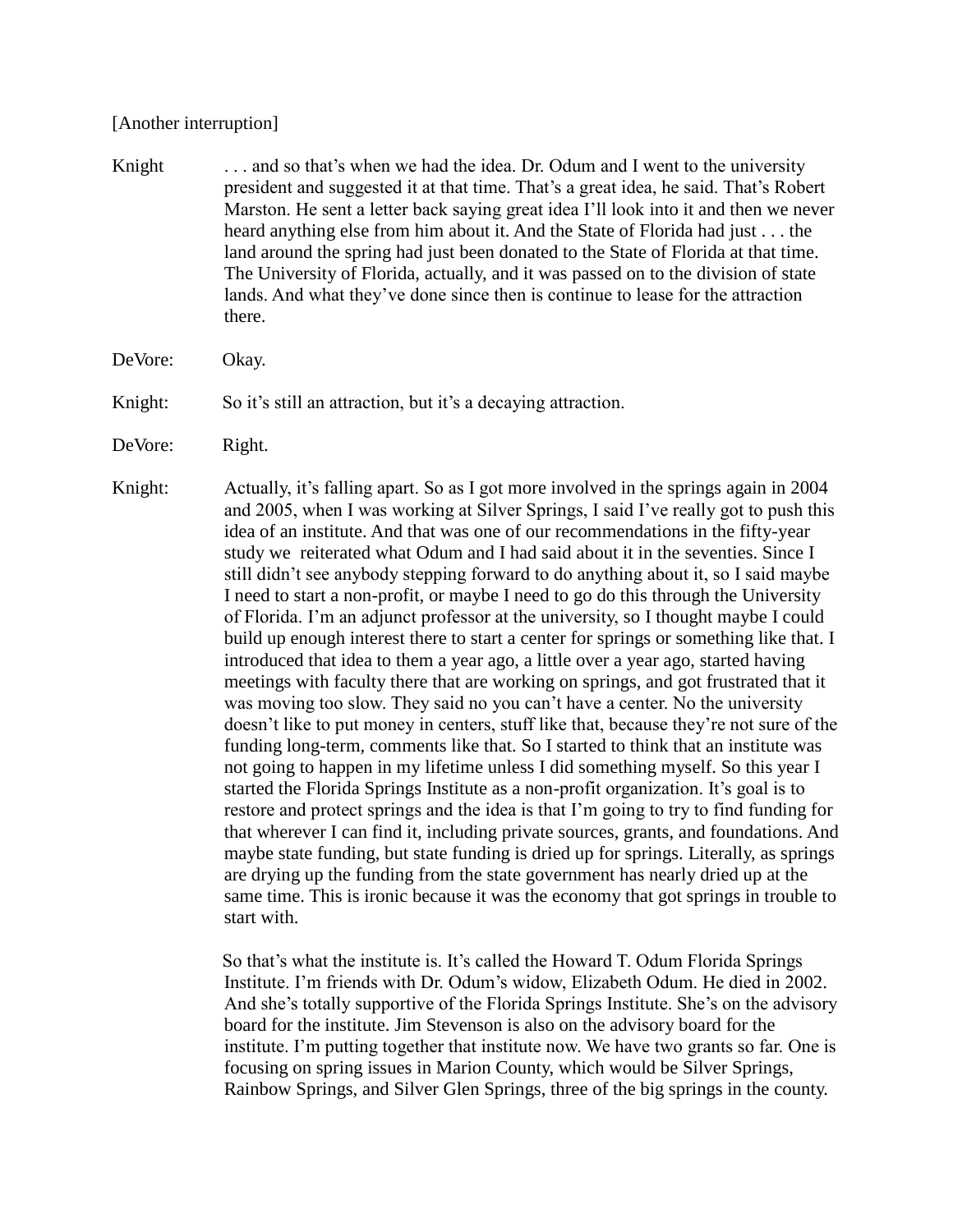### [Another interruption]

- Knight . . . . and so that's when we had the idea. Dr. Odum and I went to the university president and suggested it at that time. That's a great idea, he said. That's Robert Marston. He sent a letter back saying great idea I'll look into it and then we never heard anything else from him about it. And the State of Florida had just . . . the land around the spring had just been donated to the State of Florida at that time. The University of Florida, actually, and it was passed on to the division of state lands. And what they've done since then is continue to lease for the attraction there.
- DeVore: Okay.
- Knight: So it's still an attraction, but it's a decaying attraction.
- DeVore: Right.
- Knight: Actually, it's falling apart. So as I got more involved in the springs again in 2004 and 2005, when I was working at Silver Springs, I said I've really got to push this idea of an institute. And that was one of our recommendations in the fifty-year study we reiterated what Odum and I had said about it in the seventies. Since I still didn't see anybody stepping forward to do anything about it, so I said maybe I need to start a non-profit, or maybe I need to go do this through the University of Florida. I'm an adjunct professor at the university, so I thought maybe I could build up enough interest there to start a center for springs or something like that. I introduced that idea to them a year ago, a little over a year ago, started having meetings with faculty there that are working on springs, and got frustrated that it was moving too slow. They said no you can't have a center. No the university doesn't like to put money in centers, stuff like that, because they're not sure of the funding long-term, comments like that. So I started to think that an institute was not going to happen in my lifetime unless I did something myself. So this year I started the Florida Springs Institute as a non-profit organization. It's goal is to restore and protect springs and the idea is that I'm going to try to find funding for that wherever I can find it, including private sources, grants, and foundations. And maybe state funding, but state funding is dried up for springs. Literally, as springs are drying up the funding from the state government has nearly dried up at the same time. This is ironic because it was the economy that got springs in trouble to start with.

So that's what the institute is. It's called the Howard T. Odum Florida Springs Institute. I'm friends with Dr. Odum's widow, Elizabeth Odum. He died in 2002. And she's totally supportive of the Florida Springs Institute. She's on the advisory board for the institute. Jim Stevenson is also on the advisory board for the institute. I'm putting together that institute now. We have two grants so far. One is focusing on spring issues in Marion County, which would be Silver Springs, Rainbow Springs, and Silver Glen Springs, three of the big springs in the county.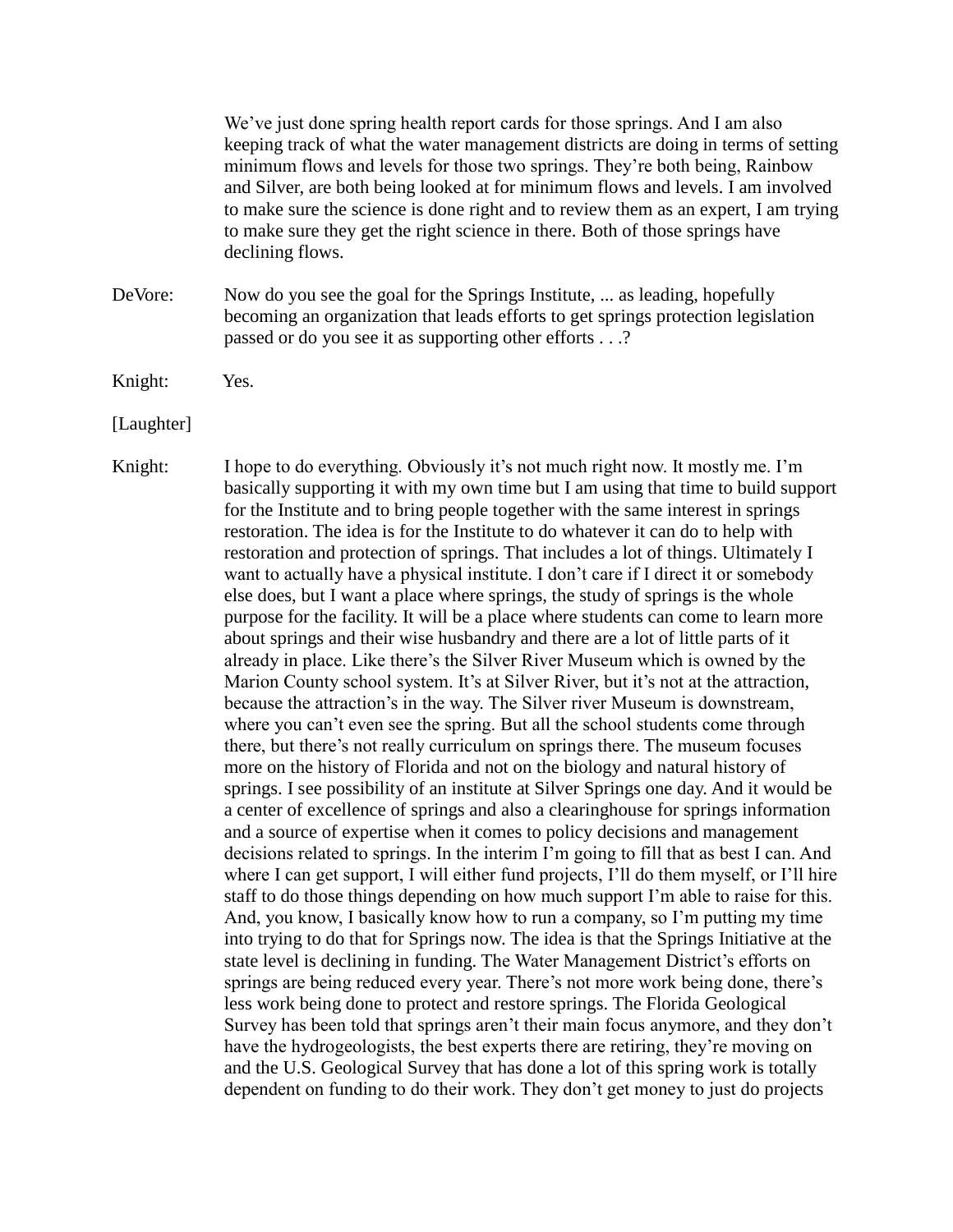We've just done spring health report cards for those springs. And I am also keeping track of what the water management districts are doing in terms of setting minimum flows and levels for those two springs. They're both being, Rainbow and Silver, are both being looked at for minimum flows and levels. I am involved to make sure the science is done right and to review them as an expert, I am trying to make sure they get the right science in there. Both of those springs have declining flows.

DeVore: Now do you see the goal for the Springs Institute, ... as leading, hopefully becoming an organization that leads efforts to get springs protection legislation passed or do you see it as supporting other efforts . . .?

Knight: Yes.

[Laughter]

Knight: I hope to do everything. Obviously it's not much right now. It mostly me. I'm basically supporting it with my own time but I am using that time to build support for the Institute and to bring people together with the same interest in springs restoration. The idea is for the Institute to do whatever it can do to help with restoration and protection of springs. That includes a lot of things. Ultimately I want to actually have a physical institute. I don't care if I direct it or somebody else does, but I want a place where springs, the study of springs is the whole purpose for the facility. It will be a place where students can come to learn more about springs and their wise husbandry and there are a lot of little parts of it already in place. Like there's the Silver River Museum which is owned by the Marion County school system. It's at Silver River, but it's not at the attraction, because the attraction's in the way. The Silver river Museum is downstream, where you can't even see the spring. But all the school students come through there, but there's not really curriculum on springs there. The museum focuses more on the history of Florida and not on the biology and natural history of springs. I see possibility of an institute at Silver Springs one day. And it would be a center of excellence of springs and also a clearinghouse for springs information and a source of expertise when it comes to policy decisions and management decisions related to springs. In the interim I'm going to fill that as best I can. And where I can get support, I will either fund projects, I'll do them myself, or I'll hire staff to do those things depending on how much support I'm able to raise for this. And, you know, I basically know how to run a company, so I'm putting my time into trying to do that for Springs now. The idea is that the Springs Initiative at the state level is declining in funding. The Water Management District's efforts on springs are being reduced every year. There's not more work being done, there's less work being done to protect and restore springs. The Florida Geological Survey has been told that springs aren't their main focus anymore, and they don't have the hydrogeologists, the best experts there are retiring, they're moving on and the U.S. Geological Survey that has done a lot of this spring work is totally dependent on funding to do their work. They don't get money to just do projects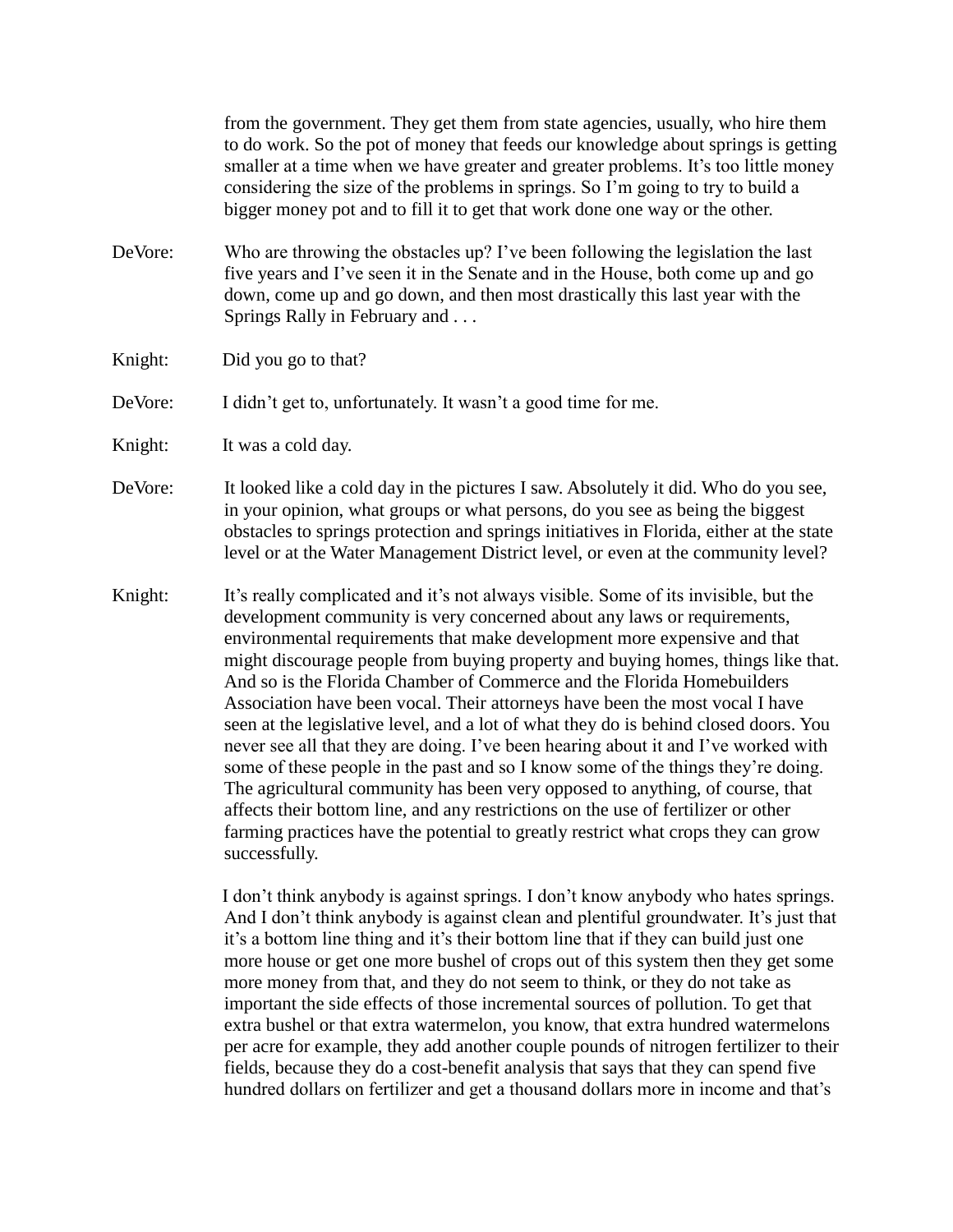from the government. They get them from state agencies, usually, who hire them to do work. So the pot of money that feeds our knowledge about springs is getting smaller at a time when we have greater and greater problems. It's too little money considering the size of the problems in springs. So I'm going to try to build a bigger money pot and to fill it to get that work done one way or the other.

- DeVore: Who are throwing the obstacles up? I've been following the legislation the last five years and I've seen it in the Senate and in the House, both come up and go down, come up and go down, and then most drastically this last year with the Springs Rally in February and . . .
- Knight: Did you go to that?

DeVore: I didn't get to, unfortunately. It wasn't a good time for me.

Knight: It was a cold day.

DeVore: It looked like a cold day in the pictures I saw. Absolutely it did. Who do you see, in your opinion, what groups or what persons, do you see as being the biggest obstacles to springs protection and springs initiatives in Florida, either at the state level or at the Water Management District level, or even at the community level?

Knight: It's really complicated and it's not always visible. Some of its invisible, but the development community is very concerned about any laws or requirements, environmental requirements that make development more expensive and that might discourage people from buying property and buying homes, things like that. And so is the Florida Chamber of Commerce and the Florida Homebuilders Association have been vocal. Their attorneys have been the most vocal I have seen at the legislative level, and a lot of what they do is behind closed doors. You never see all that they are doing. I've been hearing about it and I've worked with some of these people in the past and so I know some of the things they're doing. The agricultural community has been very opposed to anything, of course, that affects their bottom line, and any restrictions on the use of fertilizer or other farming practices have the potential to greatly restrict what crops they can grow successfully.

> I don't think anybody is against springs. I don't know anybody who hates springs. And I don't think anybody is against clean and plentiful groundwater. It's just that it's a bottom line thing and it's their bottom line that if they can build just one more house or get one more bushel of crops out of this system then they get some more money from that, and they do not seem to think, or they do not take as important the side effects of those incremental sources of pollution. To get that extra bushel or that extra watermelon, you know, that extra hundred watermelons per acre for example, they add another couple pounds of nitrogen fertilizer to their fields, because they do a cost-benefit analysis that says that they can spend five hundred dollars on fertilizer and get a thousand dollars more in income and that's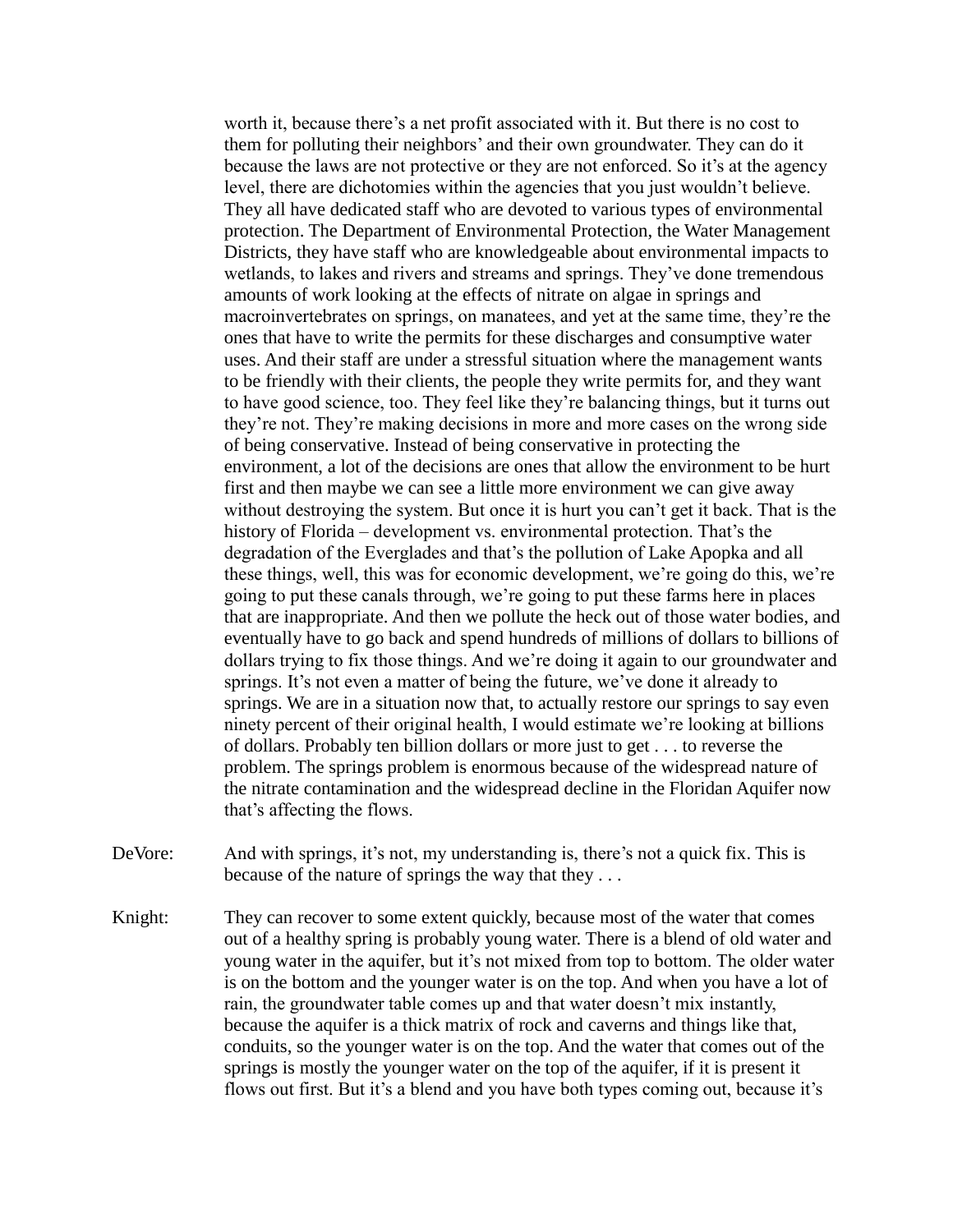worth it, because there's a net profit associated with it. But there is no cost to them for polluting their neighbors' and their own groundwater. They can do it because the laws are not protective or they are not enforced. So it's at the agency level, there are dichotomies within the agencies that you just wouldn't believe. They all have dedicated staff who are devoted to various types of environmental protection. The Department of Environmental Protection, the Water Management Districts, they have staff who are knowledgeable about environmental impacts to wetlands, to lakes and rivers and streams and springs. They've done tremendous amounts of work looking at the effects of nitrate on algae in springs and macroinvertebrates on springs, on manatees, and yet at the same time, they're the ones that have to write the permits for these discharges and consumptive water uses. And their staff are under a stressful situation where the management wants to be friendly with their clients, the people they write permits for, and they want to have good science, too. They feel like they're balancing things, but it turns out they're not. They're making decisions in more and more cases on the wrong side of being conservative. Instead of being conservative in protecting the environment, a lot of the decisions are ones that allow the environment to be hurt first and then maybe we can see a little more environment we can give away without destroying the system. But once it is hurt you can't get it back. That is the history of Florida – development vs. environmental protection. That's the degradation of the Everglades and that's the pollution of Lake Apopka and all these things, well, this was for economic development, we're going do this, we're going to put these canals through, we're going to put these farms here in places that are inappropriate. And then we pollute the heck out of those water bodies, and eventually have to go back and spend hundreds of millions of dollars to billions of dollars trying to fix those things. And we're doing it again to our groundwater and springs. It's not even a matter of being the future, we've done it already to springs. We are in a situation now that, to actually restore our springs to say even ninety percent of their original health, I would estimate we're looking at billions of dollars. Probably ten billion dollars or more just to get . . . to reverse the problem. The springs problem is enormous because of the widespread nature of the nitrate contamination and the widespread decline in the Floridan Aquifer now that's affecting the flows.

- DeVore: And with springs, it's not, my understanding is, there's not a quick fix. This is because of the nature of springs the way that they . . .
- Knight: They can recover to some extent quickly, because most of the water that comes out of a healthy spring is probably young water. There is a blend of old water and young water in the aquifer, but it's not mixed from top to bottom. The older water is on the bottom and the younger water is on the top. And when you have a lot of rain, the groundwater table comes up and that water doesn't mix instantly, because the aquifer is a thick matrix of rock and caverns and things like that, conduits, so the younger water is on the top. And the water that comes out of the springs is mostly the younger water on the top of the aquifer, if it is present it flows out first. But it's a blend and you have both types coming out, because it's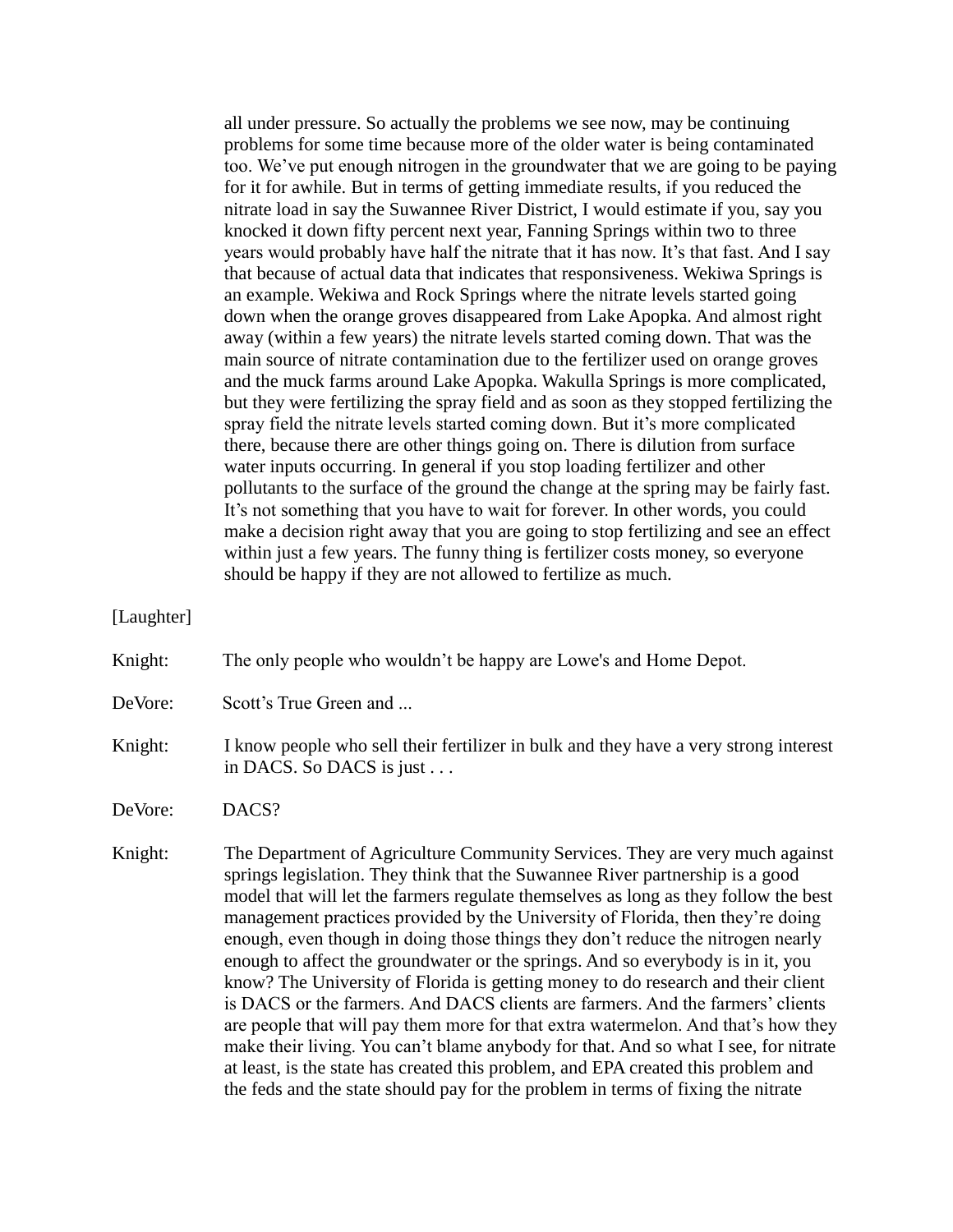all under pressure. So actually the problems we see now, may be continuing problems for some time because more of the older water is being contaminated too. We've put enough nitrogen in the groundwater that we are going to be paying for it for awhile. But in terms of getting immediate results, if you reduced the nitrate load in say the Suwannee River District, I would estimate if you, say you knocked it down fifty percent next year, Fanning Springs within two to three years would probably have half the nitrate that it has now. It's that fast. And I say that because of actual data that indicates that responsiveness. Wekiwa Springs is an example. Wekiwa and Rock Springs where the nitrate levels started going down when the orange groves disappeared from Lake Apopka. And almost right away (within a few years) the nitrate levels started coming down. That was the main source of nitrate contamination due to the fertilizer used on orange groves and the muck farms around Lake Apopka. Wakulla Springs is more complicated, but they were fertilizing the spray field and as soon as they stopped fertilizing the spray field the nitrate levels started coming down. But it's more complicated there, because there are other things going on. There is dilution from surface water inputs occurring. In general if you stop loading fertilizer and other pollutants to the surface of the ground the change at the spring may be fairly fast. It's not something that you have to wait for forever. In other words, you could make a decision right away that you are going to stop fertilizing and see an effect within just a few years. The funny thing is fertilizer costs money, so everyone should be happy if they are not allowed to fertilize as much.

[Laughter]

Knight: The only people who wouldn't be happy are Lowe's and Home Depot.

DeVore: Scott's True Green and ...

## Knight: I know people who sell their fertilizer in bulk and they have a very strong interest in DACS. So DACS is just . . .

DeVore: DACS?

Knight: The Department of Agriculture Community Services. They are very much against springs legislation. They think that the Suwannee River partnership is a good model that will let the farmers regulate themselves as long as they follow the best management practices provided by the University of Florida, then they're doing enough, even though in doing those things they don't reduce the nitrogen nearly enough to affect the groundwater or the springs. And so everybody is in it, you know? The University of Florida is getting money to do research and their client is DACS or the farmers. And DACS clients are farmers. And the farmers' clients are people that will pay them more for that extra watermelon. And that's how they make their living. You can't blame anybody for that. And so what I see, for nitrate at least, is the state has created this problem, and EPA created this problem and the feds and the state should pay for the problem in terms of fixing the nitrate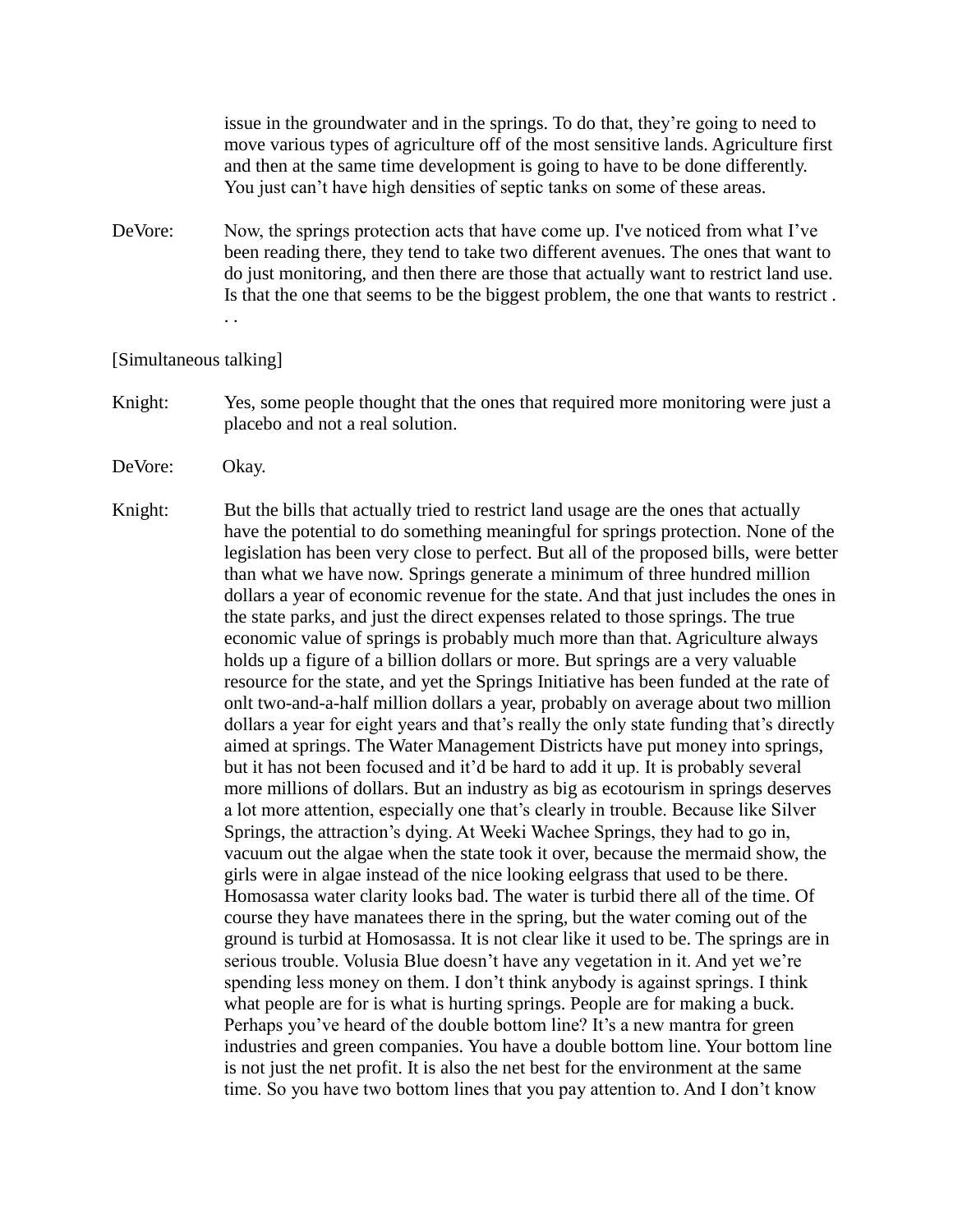issue in the groundwater and in the springs. To do that, they're going to need to move various types of agriculture off of the most sensitive lands. Agriculture first and then at the same time development is going to have to be done differently. You just can't have high densities of septic tanks on some of these areas.

DeVore: Now, the springs protection acts that have come up. I've noticed from what I've been reading there, they tend to take two different avenues. The ones that want to do just monitoring, and then there are those that actually want to restrict land use. Is that the one that seems to be the biggest problem, the one that wants to restrict . . .

#### [Simultaneous talking]

- Knight: Yes, some people thought that the ones that required more monitoring were just a placebo and not a real solution.
- DeVore: Okay.
- Knight: But the bills that actually tried to restrict land usage are the ones that actually have the potential to do something meaningful for springs protection. None of the legislation has been very close to perfect. But all of the proposed bills, were better than what we have now. Springs generate a minimum of three hundred million dollars a year of economic revenue for the state. And that just includes the ones in the state parks, and just the direct expenses related to those springs. The true economic value of springs is probably much more than that. Agriculture always holds up a figure of a billion dollars or more. But springs are a very valuable resource for the state, and yet the Springs Initiative has been funded at the rate of onlt two-and-a-half million dollars a year, probably on average about two million dollars a year for eight years and that's really the only state funding that's directly aimed at springs. The Water Management Districts have put money into springs, but it has not been focused and it'd be hard to add it up. It is probably several more millions of dollars. But an industry as big as ecotourism in springs deserves a lot more attention, especially one that's clearly in trouble. Because like Silver Springs, the attraction's dying. At Weeki Wachee Springs, they had to go in, vacuum out the algae when the state took it over, because the mermaid show, the girls were in algae instead of the nice looking eelgrass that used to be there. Homosassa water clarity looks bad. The water is turbid there all of the time. Of course they have manatees there in the spring, but the water coming out of the ground is turbid at Homosassa. It is not clear like it used to be. The springs are in serious trouble. Volusia Blue doesn't have any vegetation in it. And yet we're spending less money on them. I don't think anybody is against springs. I think what people are for is what is hurting springs. People are for making a buck. Perhaps you've heard of the double bottom line? It's a new mantra for green industries and green companies. You have a double bottom line. Your bottom line is not just the net profit. It is also the net best for the environment at the same time. So you have two bottom lines that you pay attention to. And I don't know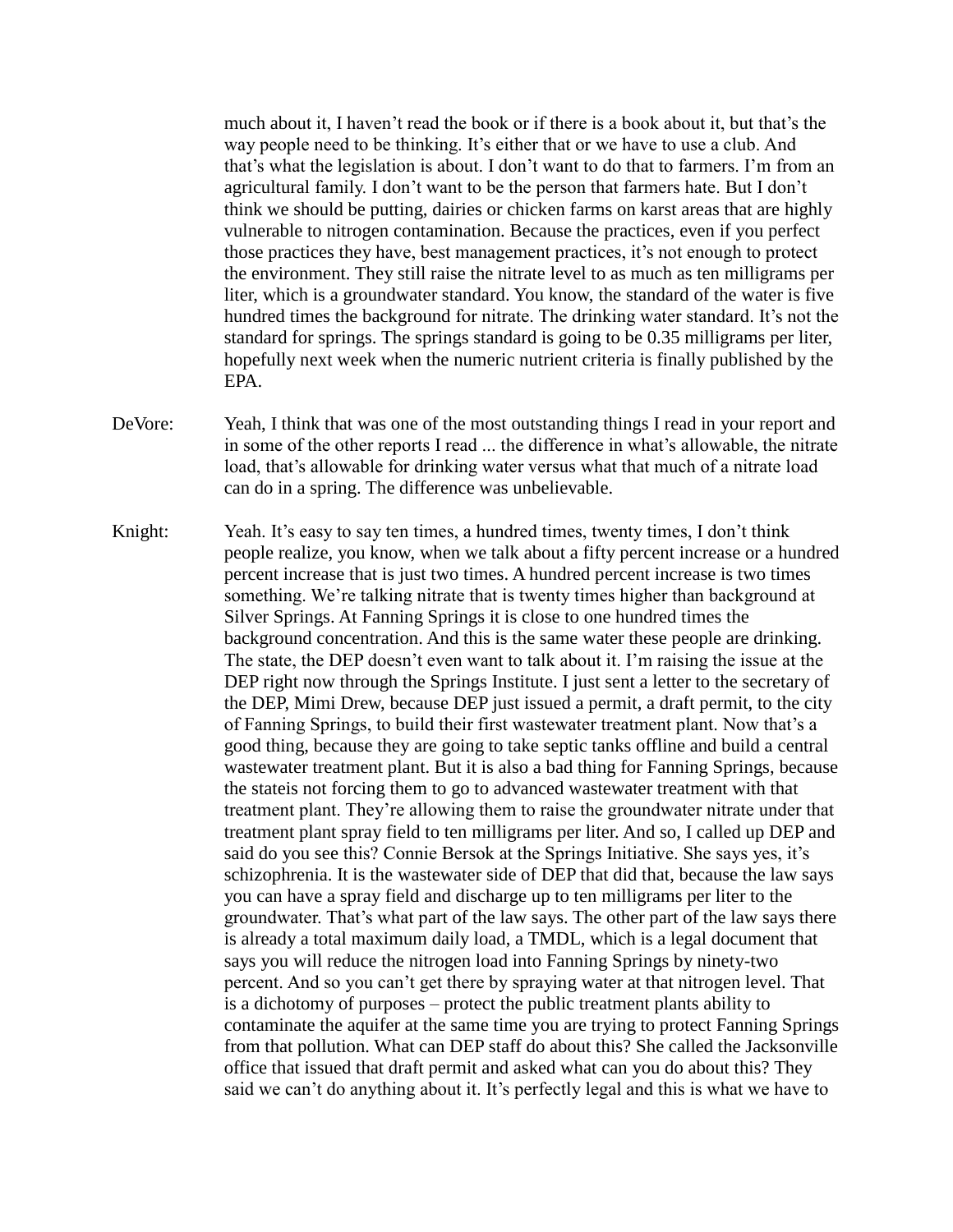much about it, I haven't read the book or if there is a book about it, but that's the way people need to be thinking. It's either that or we have to use a club. And that's what the legislation is about. I don't want to do that to farmers. I'm from an agricultural family. I don't want to be the person that farmers hate. But I don't think we should be putting, dairies or chicken farms on karst areas that are highly vulnerable to nitrogen contamination. Because the practices, even if you perfect those practices they have, best management practices, it's not enough to protect the environment. They still raise the nitrate level to as much as ten milligrams per liter, which is a groundwater standard. You know, the standard of the water is five hundred times the background for nitrate. The drinking water standard. It's not the standard for springs. The springs standard is going to be 0.35 milligrams per liter, hopefully next week when the numeric nutrient criteria is finally published by the EPA.

- DeVore: Yeah, I think that was one of the most outstanding things I read in your report and in some of the other reports I read ... the difference in what's allowable, the nitrate load, that's allowable for drinking water versus what that much of a nitrate load can do in a spring. The difference was unbelievable.
- Knight: Yeah. It's easy to say ten times, a hundred times, twenty times, I don't think people realize, you know, when we talk about a fifty percent increase or a hundred percent increase that is just two times. A hundred percent increase is two times something. We're talking nitrate that is twenty times higher than background at Silver Springs. At Fanning Springs it is close to one hundred times the background concentration. And this is the same water these people are drinking. The state, the DEP doesn't even want to talk about it. I'm raising the issue at the DEP right now through the Springs Institute. I just sent a letter to the secretary of the DEP, Mimi Drew, because DEP just issued a permit, a draft permit, to the city of Fanning Springs, to build their first wastewater treatment plant. Now that's a good thing, because they are going to take septic tanks offline and build a central wastewater treatment plant. But it is also a bad thing for Fanning Springs, because the stateis not forcing them to go to advanced wastewater treatment with that treatment plant. They're allowing them to raise the groundwater nitrate under that treatment plant spray field to ten milligrams per liter. And so, I called up DEP and said do you see this? Connie Bersok at the Springs Initiative. She says yes, it's schizophrenia. It is the wastewater side of DEP that did that, because the law says you can have a spray field and discharge up to ten milligrams per liter to the groundwater. That's what part of the law says. The other part of the law says there is already a total maximum daily load, a TMDL, which is a legal document that says you will reduce the nitrogen load into Fanning Springs by ninety-two percent. And so you can't get there by spraying water at that nitrogen level. That is a dichotomy of purposes – protect the public treatment plants ability to contaminate the aquifer at the same time you are trying to protect Fanning Springs from that pollution. What can DEP staff do about this? She called the Jacksonville office that issued that draft permit and asked what can you do about this? They said we can't do anything about it. It's perfectly legal and this is what we have to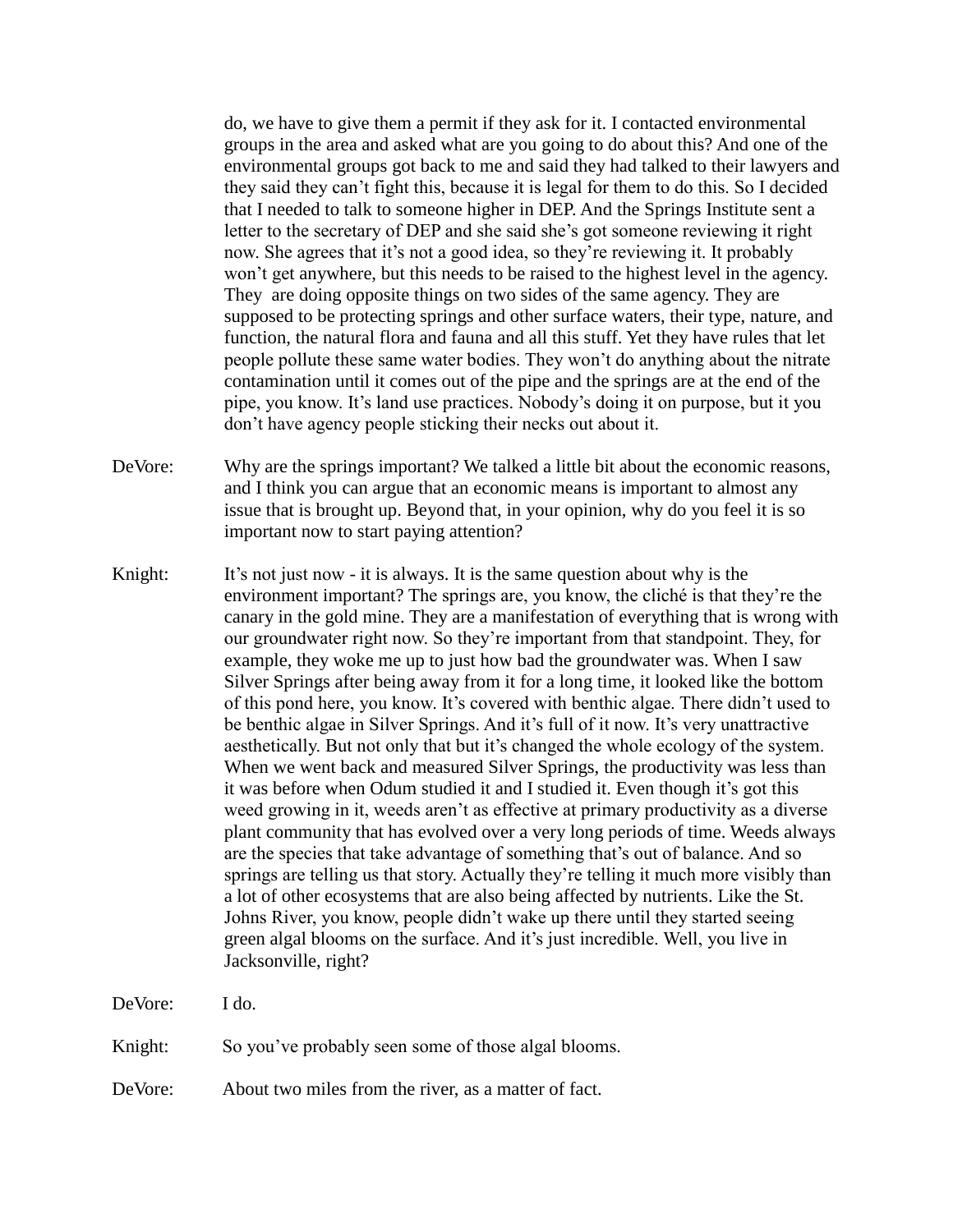do, we have to give them a permit if they ask for it. I contacted environmental groups in the area and asked what are you going to do about this? And one of the environmental groups got back to me and said they had talked to their lawyers and they said they can't fight this, because it is legal for them to do this. So I decided that I needed to talk to someone higher in DEP. And the Springs Institute sent a letter to the secretary of DEP and she said she's got someone reviewing it right now. She agrees that it's not a good idea, so they're reviewing it. It probably won't get anywhere, but this needs to be raised to the highest level in the agency. They are doing opposite things on two sides of the same agency. They are supposed to be protecting springs and other surface waters, their type, nature, and function, the natural flora and fauna and all this stuff. Yet they have rules that let people pollute these same water bodies. They won't do anything about the nitrate contamination until it comes out of the pipe and the springs are at the end of the pipe, you know. It's land use practices. Nobody's doing it on purpose, but it you don't have agency people sticking their necks out about it.

- DeVore: Why are the springs important? We talked a little bit about the economic reasons, and I think you can argue that an economic means is important to almost any issue that is brought up. Beyond that, in your opinion, why do you feel it is so important now to start paying attention?
- Knight: It's not just now it is always. It is the same question about why is the environment important? The springs are, you know, the cliché is that they're the canary in the gold mine. They are a manifestation of everything that is wrong with our groundwater right now. So they're important from that standpoint. They, for example, they woke me up to just how bad the groundwater was. When I saw Silver Springs after being away from it for a long time, it looked like the bottom of this pond here, you know. It's covered with benthic algae. There didn't used to be benthic algae in Silver Springs. And it's full of it now. It's very unattractive aesthetically. But not only that but it's changed the whole ecology of the system. When we went back and measured Silver Springs, the productivity was less than it was before when Odum studied it and I studied it. Even though it's got this weed growing in it, weeds aren't as effective at primary productivity as a diverse plant community that has evolved over a very long periods of time. Weeds always are the species that take advantage of something that's out of balance. And so springs are telling us that story. Actually they're telling it much more visibly than a lot of other ecosystems that are also being affected by nutrients. Like the St. Johns River, you know, people didn't wake up there until they started seeing green algal blooms on the surface. And it's just incredible. Well, you live in Jacksonville, right?

DeVore: I do. Knight: So you've probably seen some of those algal blooms.

DeVore: About two miles from the river, as a matter of fact.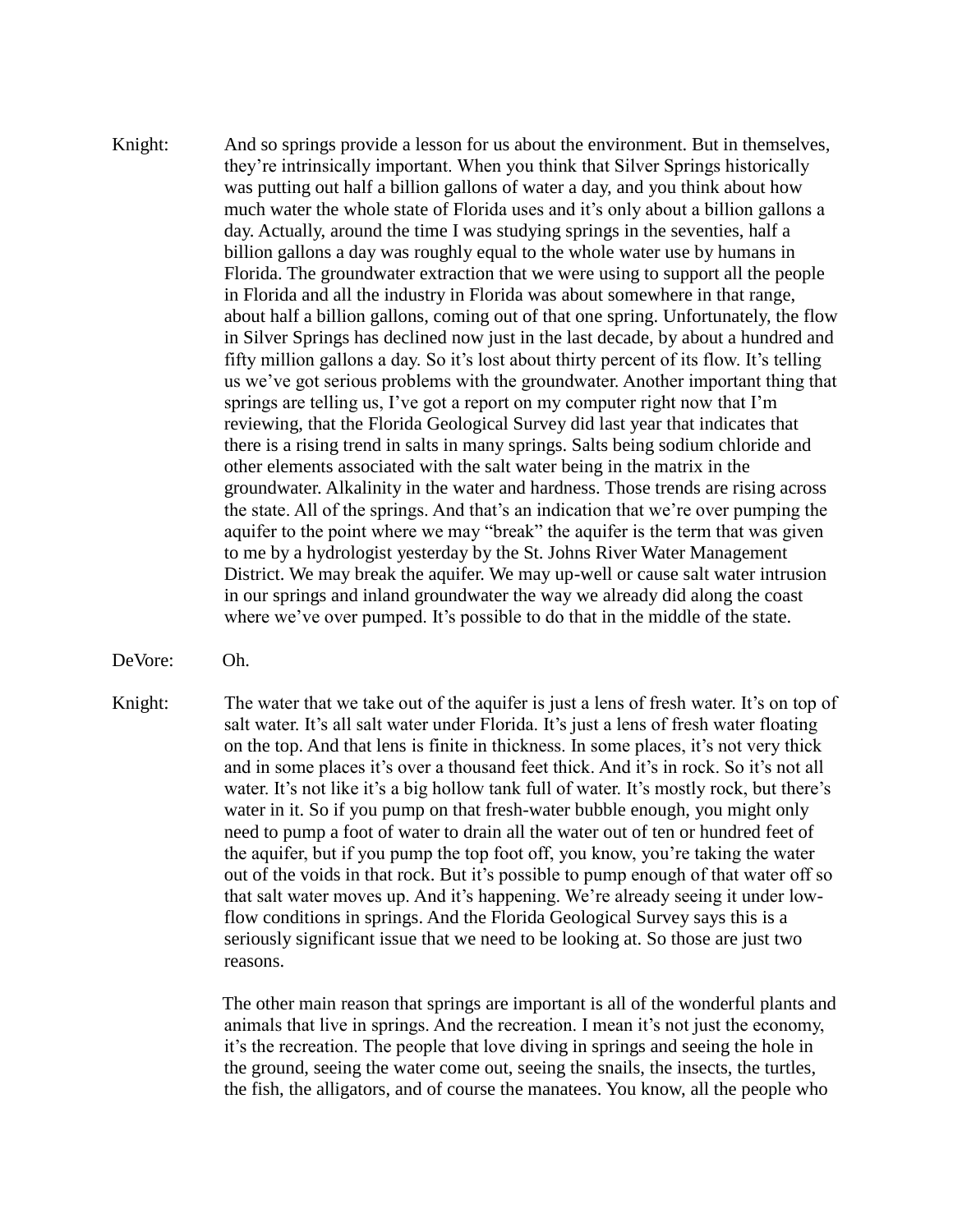- Knight: And so springs provide a lesson for us about the environment. But in themselves, they're intrinsically important. When you think that Silver Springs historically was putting out half a billion gallons of water a day, and you think about how much water the whole state of Florida uses and it's only about a billion gallons a day. Actually, around the time I was studying springs in the seventies, half a billion gallons a day was roughly equal to the whole water use by humans in Florida. The groundwater extraction that we were using to support all the people in Florida and all the industry in Florida was about somewhere in that range, about half a billion gallons, coming out of that one spring. Unfortunately, the flow in Silver Springs has declined now just in the last decade, by about a hundred and fifty million gallons a day. So it's lost about thirty percent of its flow. It's telling us we've got serious problems with the groundwater. Another important thing that springs are telling us, I've got a report on my computer right now that I'm reviewing, that the Florida Geological Survey did last year that indicates that there is a rising trend in salts in many springs. Salts being sodium chloride and other elements associated with the salt water being in the matrix in the groundwater. Alkalinity in the water and hardness. Those trends are rising across the state. All of the springs. And that's an indication that we're over pumping the aquifer to the point where we may "break" the aquifer is the term that was given to me by a hydrologist yesterday by the St. Johns River Water Management District. We may break the aquifer. We may up-well or cause salt water intrusion in our springs and inland groundwater the way we already did along the coast where we've over pumped. It's possible to do that in the middle of the state.
- DeVore: Oh.
- Knight: The water that we take out of the aquifer is just a lens of fresh water. It's on top of salt water. It's all salt water under Florida. It's just a lens of fresh water floating on the top. And that lens is finite in thickness. In some places, it's not very thick and in some places it's over a thousand feet thick. And it's in rock. So it's not all water. It's not like it's a big hollow tank full of water. It's mostly rock, but there's water in it. So if you pump on that fresh-water bubble enough, you might only need to pump a foot of water to drain all the water out of ten or hundred feet of the aquifer, but if you pump the top foot off, you know, you're taking the water out of the voids in that rock. But it's possible to pump enough of that water off so that salt water moves up. And it's happening. We're already seeing it under lowflow conditions in springs. And the Florida Geological Survey says this is a seriously significant issue that we need to be looking at. So those are just two reasons.

The other main reason that springs are important is all of the wonderful plants and animals that live in springs. And the recreation. I mean it's not just the economy, it's the recreation. The people that love diving in springs and seeing the hole in the ground, seeing the water come out, seeing the snails, the insects, the turtles, the fish, the alligators, and of course the manatees. You know, all the people who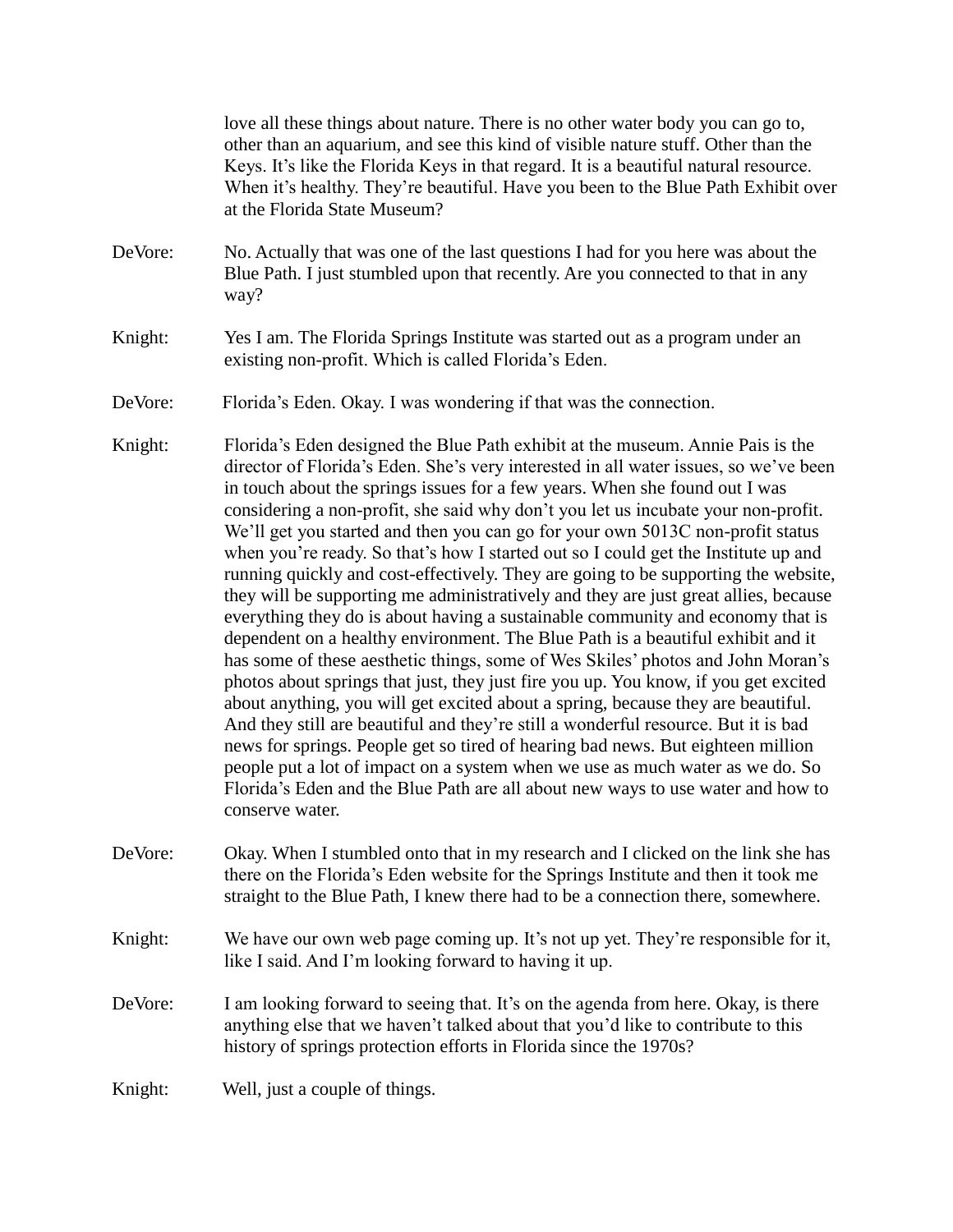love all these things about nature. There is no other water body you can go to, other than an aquarium, and see this kind of visible nature stuff. Other than the Keys. It's like the Florida Keys in that regard. It is a beautiful natural resource. When it's healthy. They're beautiful. Have you been to the Blue Path Exhibit over at the Florida State Museum?

- DeVore: No. Actually that was one of the last questions I had for you here was about the Blue Path. I just stumbled upon that recently. Are you connected to that in any way?
- Knight: Yes I am. The Florida Springs Institute was started out as a program under an existing non-profit. Which is called Florida's Eden.
- DeVore: Florida's Eden. Okay. I was wondering if that was the connection.
- Knight: Florida's Eden designed the Blue Path exhibit at the museum. Annie Pais is the director of Florida's Eden. She's very interested in all water issues, so we've been in touch about the springs issues for a few years. When she found out I was considering a non-profit, she said why don't you let us incubate your non-profit. We'll get you started and then you can go for your own 5013C non-profit status when you're ready. So that's how I started out so I could get the Institute up and running quickly and cost-effectively. They are going to be supporting the website, they will be supporting me administratively and they are just great allies, because everything they do is about having a sustainable community and economy that is dependent on a healthy environment. The Blue Path is a beautiful exhibit and it has some of these aesthetic things, some of Wes Skiles' photos and John Moran's photos about springs that just, they just fire you up. You know, if you get excited about anything, you will get excited about a spring, because they are beautiful. And they still are beautiful and they're still a wonderful resource. But it is bad news for springs. People get so tired of hearing bad news. But eighteen million people put a lot of impact on a system when we use as much water as we do. So Florida's Eden and the Blue Path are all about new ways to use water and how to conserve water.
- DeVore: Okay. When I stumbled onto that in my research and I clicked on the link she has there on the Florida's Eden website for the Springs Institute and then it took me straight to the Blue Path, I knew there had to be a connection there, somewhere.
- Knight: We have our own web page coming up. It's not up yet. They're responsible for it, like I said. And I'm looking forward to having it up.
- DeVore: I am looking forward to seeing that. It's on the agenda from here. Okay, is there anything else that we haven't talked about that you'd like to contribute to this history of springs protection efforts in Florida since the 1970s?
- Knight: Well, just a couple of things.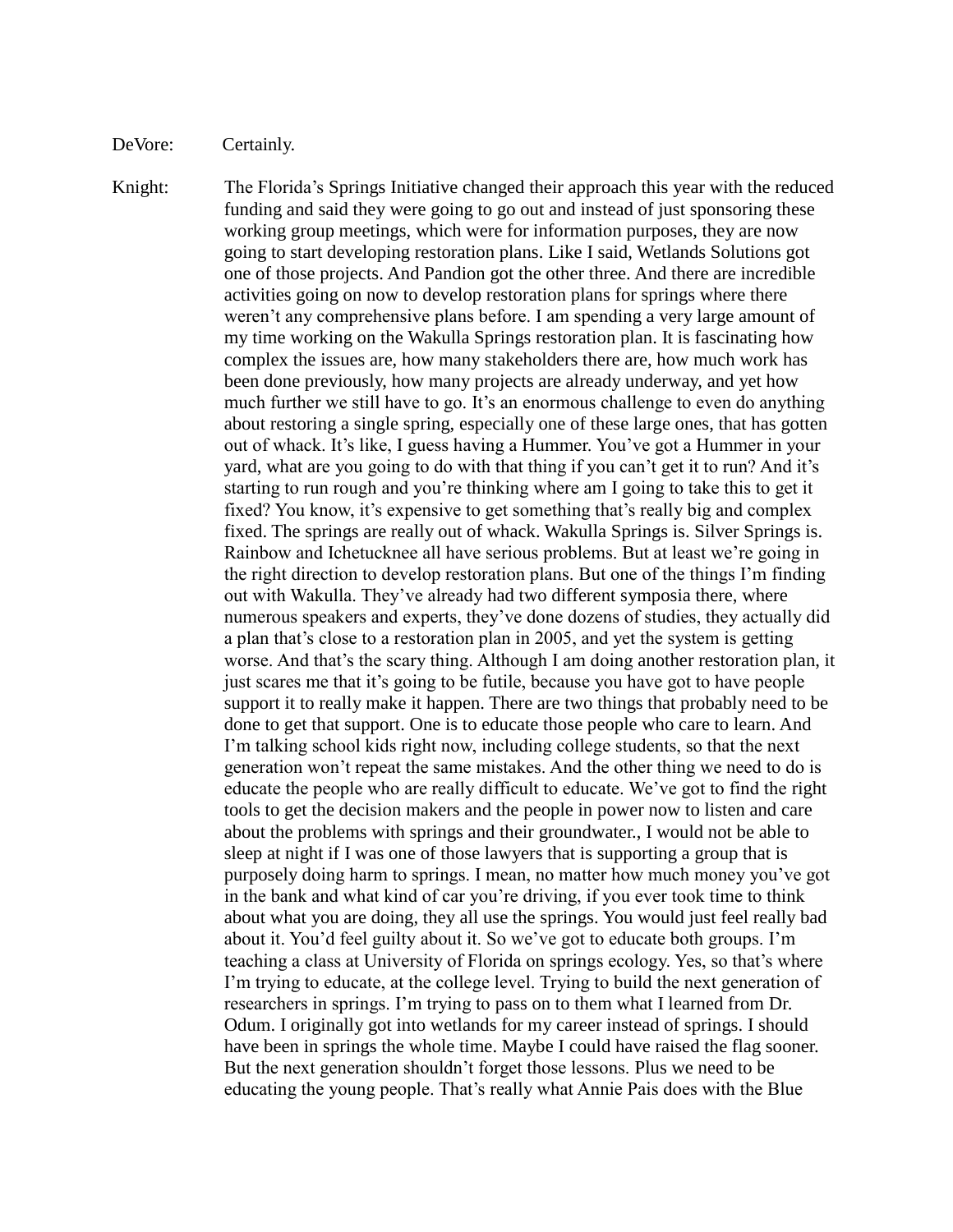DeVore: Certainly.

Knight: The Florida's Springs Initiative changed their approach this year with the reduced funding and said they were going to go out and instead of just sponsoring these working group meetings, which were for information purposes, they are now going to start developing restoration plans. Like I said, Wetlands Solutions got one of those projects. And Pandion got the other three. And there are incredible activities going on now to develop restoration plans for springs where there weren't any comprehensive plans before. I am spending a very large amount of my time working on the Wakulla Springs restoration plan. It is fascinating how complex the issues are, how many stakeholders there are, how much work has been done previously, how many projects are already underway, and yet how much further we still have to go. It's an enormous challenge to even do anything about restoring a single spring, especially one of these large ones, that has gotten out of whack. It's like, I guess having a Hummer. You've got a Hummer in your yard, what are you going to do with that thing if you can't get it to run? And it's starting to run rough and you're thinking where am I going to take this to get it fixed? You know, it's expensive to get something that's really big and complex fixed. The springs are really out of whack. Wakulla Springs is. Silver Springs is. Rainbow and Ichetucknee all have serious problems. But at least we're going in the right direction to develop restoration plans. But one of the things I'm finding out with Wakulla. They've already had two different symposia there, where numerous speakers and experts, they've done dozens of studies, they actually did a plan that's close to a restoration plan in 2005, and yet the system is getting worse. And that's the scary thing. Although I am doing another restoration plan, it just scares me that it's going to be futile, because you have got to have people support it to really make it happen. There are two things that probably need to be done to get that support. One is to educate those people who care to learn. And I'm talking school kids right now, including college students, so that the next generation won't repeat the same mistakes. And the other thing we need to do is educate the people who are really difficult to educate. We've got to find the right tools to get the decision makers and the people in power now to listen and care about the problems with springs and their groundwater., I would not be able to sleep at night if I was one of those lawyers that is supporting a group that is purposely doing harm to springs. I mean, no matter how much money you've got in the bank and what kind of car you're driving, if you ever took time to think about what you are doing, they all use the springs. You would just feel really bad about it. You'd feel guilty about it. So we've got to educate both groups. I'm teaching a class at University of Florida on springs ecology. Yes, so that's where I'm trying to educate, at the college level. Trying to build the next generation of researchers in springs. I'm trying to pass on to them what I learned from Dr. Odum. I originally got into wetlands for my career instead of springs. I should have been in springs the whole time. Maybe I could have raised the flag sooner. But the next generation shouldn't forget those lessons. Plus we need to be educating the young people. That's really what Annie Pais does with the Blue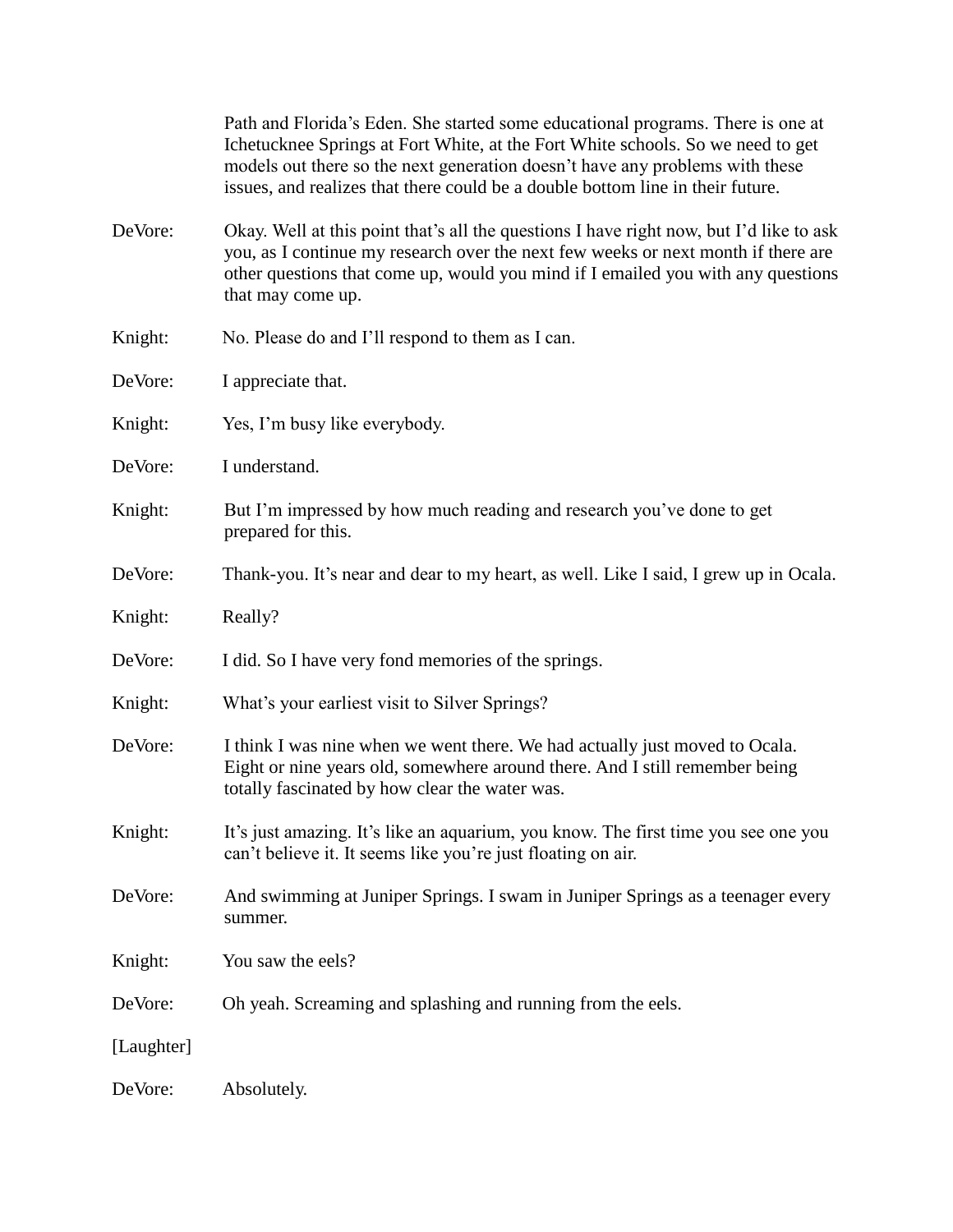|            | Path and Florida's Eden. She started some educational programs. There is one at<br>Ichetucknee Springs at Fort White, at the Fort White schools. So we need to get<br>models out there so the next generation doesn't have any problems with these<br>issues, and realizes that there could be a double bottom line in their future. |
|------------|--------------------------------------------------------------------------------------------------------------------------------------------------------------------------------------------------------------------------------------------------------------------------------------------------------------------------------------|
| DeVore:    | Okay. Well at this point that's all the questions I have right now, but I'd like to ask<br>you, as I continue my research over the next few weeks or next month if there are<br>other questions that come up, would you mind if I emailed you with any questions<br>that may come up.                                                |
| Knight:    | No. Please do and I'll respond to them as I can.                                                                                                                                                                                                                                                                                     |
| DeVore:    | I appreciate that.                                                                                                                                                                                                                                                                                                                   |
| Knight:    | Yes, I'm busy like everybody.                                                                                                                                                                                                                                                                                                        |
| DeVore:    | I understand.                                                                                                                                                                                                                                                                                                                        |
| Knight:    | But I'm impressed by how much reading and research you've done to get<br>prepared for this.                                                                                                                                                                                                                                          |
| DeVore:    | Thank-you. It's near and dear to my heart, as well. Like I said, I grew up in Ocala.                                                                                                                                                                                                                                                 |
| Knight:    | Really?                                                                                                                                                                                                                                                                                                                              |
| DeVore:    | I did. So I have very fond memories of the springs.                                                                                                                                                                                                                                                                                  |
| Knight:    | What's your earliest visit to Silver Springs?                                                                                                                                                                                                                                                                                        |
| DeVore:    | I think I was nine when we went there. We had actually just moved to Ocala.<br>Eight or nine years old, somewhere around there. And I still remember being<br>totally fascinated by how clear the water was.                                                                                                                         |
| Knight:    | It's just amazing. It's like an aquarium, you know. The first time you see one you<br>can't believe it. It seems like you're just floating on air.                                                                                                                                                                                   |
| DeVore:    | And swimming at Juniper Springs. I swam in Juniper Springs as a teenager every<br>summer.                                                                                                                                                                                                                                            |
| Knight:    | You saw the eels?                                                                                                                                                                                                                                                                                                                    |
| DeVore:    | Oh yeah. Screaming and splashing and running from the eels.                                                                                                                                                                                                                                                                          |
| [Laughter] |                                                                                                                                                                                                                                                                                                                                      |
| DeVore:    | Absolutely.                                                                                                                                                                                                                                                                                                                          |